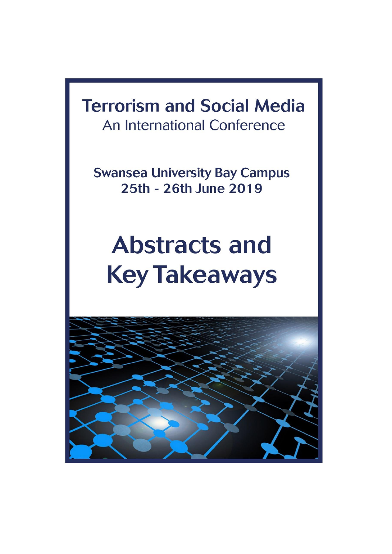# **Terrorism and Social Media** An International Conference

**Swansea University Bay Campus** 25th - 26th June 2019

# **Abstracts and Key Takeaways**

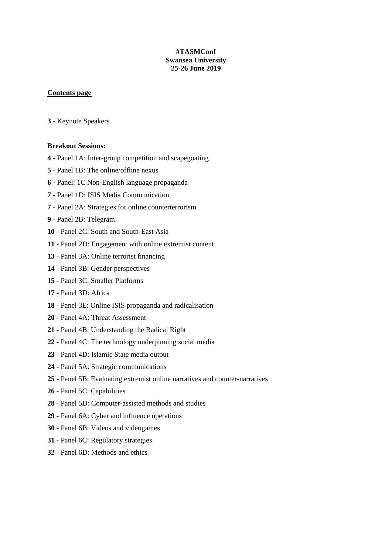#### **#TASMConf Swansea University 25-26 June 2019**

#### **Contents page**

- Keynote Speakers

#### **Breakout Sessions:**

- Panel 1A: Inter-group competition and scapegoating
- Panel 1B: The online/offline nexus
- Panel: 1C Non-English language propaganda
- Panel 1D: ISIS Media Communication
- Panel 2A: Strategies for online counterterrorism
- Panel 2B: Telegram
- Panel 2C: South and South-East Asia
- Panel 2D: Engagement with online extremist content
- Panel 3A: Online terrorist financing
- Panel 3B: Gender perspectives
- Panel 3C: Smaller Platforms
- Panel 3D: Africa
- Panel 3E: Online ISIS propaganda and radicalisation
- Panel 4A: Threat Assessment
- Panel 4B: Understanding the Radical Right
- Panel 4C: The technology underpinning social media
- Panel 4D: Islamic State media output
- Panel 5A: Strategic communications
- Panel 5B: Evaluating extremist online narratives and counter-narratives
- Panel 5C: Capabilities
- Panel 5D: Computer-assisted methods and studies
- Panel 6A: Cyber and influence operations
- Panel 6B: Videos and videogames
- Panel 6C: Regulatory strategies
- Panel 6D: Methods and ethics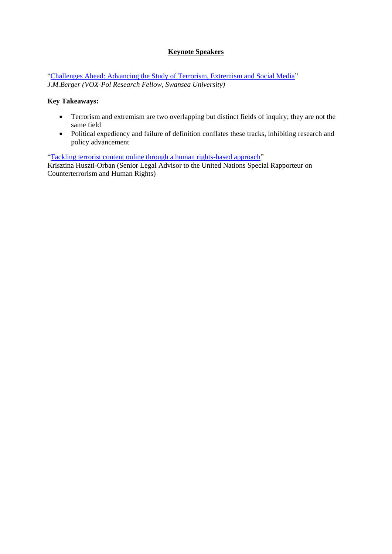#### **Keynote Speakers**

["Challenges Ahead: Advancing the Study of Terrorism, Extremism and Social Media"](https://www.youtube.com/watch?v=VfYuJR2z24U&t=1s) *J.M.Berger (VOX-Pol Research Fellow, Swansea University)* 

#### **Key Takeaways:**

- Terrorism and extremism are two overlapping but distinct fields of inquiry; they are not the same field
- Political expediency and failure of definition conflates these tracks, inhibiting research and policy advancement

["Tackling terrorist content online through a human rights-based approach"](https://www.youtube.com/watch?v=R_lUvkgRcWc&t=136s)

Krisztina Huszti-Orban (Senior Legal Advisor to the United Nations Special Rapporteur on Counterterrorism and Human Rights)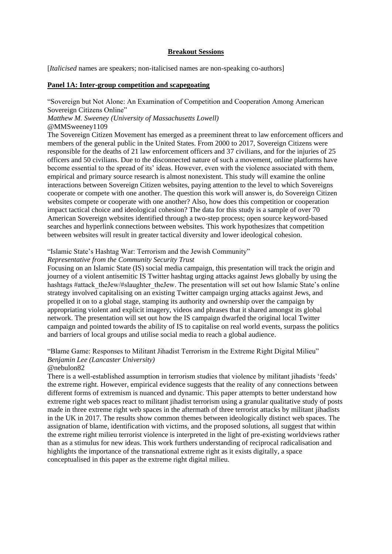#### **Breakout Sessions**

[*Italicised* names are speakers; non-italicised names are non-speaking co-authors]

#### **Panel 1A: Inter-group competition and scapegoating**

"Sovereign but Not Alone: An Examination of Competition and Cooperation Among American Sovereign Citizens Online"

*Matthew M. Sweeney (University of Massachusetts Lowell)*

@MMSweeney1109

The Sovereign Citizen Movement has emerged as a preeminent threat to law enforcement officers and members of the general public in the United States. From 2000 to 2017, Sovereign Citizens were responsible for the deaths of 21 law enforcement officers and 37 civilians, and for the injuries of 25 officers and 50 civilians. Due to the disconnected nature of such a movement, online platforms have become essential to the spread of its' ideas. However, even with the violence associated with them, empirical and primary source research is almost nonexistent. This study will examine the online interactions between Sovereign Citizen websites, paying attention to the level to which Sovereigns cooperate or compete with one another. The question this work will answer is, do Sovereign Citizen websites compete or cooperate with one another? Also, how does this competition or cooperation impact tactical choice and ideological cohesion? The data for this study is a sample of over 70 American Sovereign websites identified through a two-step process; open source keyword-based searches and hyperlink connections between websites. This work hypothesizes that competition between websites will result in greater tactical diversity and lower ideological cohesion.

#### "Islamic State's Hashtag War: Terrorism and the Jewish Community"

#### *Representative from the Community Security Trust*

Focusing on an Islamic State (IS) social media campaign, this presentation will track the origin and journey of a violent antisemitic IS Twitter hashtag urging attacks against Jews globally by using the hashtags #attack\_theJew/#slaughter\_theJew. The presentation will set out how Islamic State's online strategy involved capitalising on an existing Twitter campaign urging attacks against Jews, and propelled it on to a global stage, stamping its authority and ownership over the campaign by appropriating violent and explicit imagery, videos and phrases that it shared amongst its global network. The presentation will set out how the IS campaign dwarfed the original local Twitter campaign and pointed towards the ability of IS to capitalise on real world events, surpass the politics and barriers of local groups and utilise social media to reach a global audience.

#### "Blame Game: Responses to Militant Jihadist Terrorism in the Extreme Right Digital Milieu" *Benjamin Lee (Lancaster University)*

#### @nebulon82

There is a well-established assumption in terrorism studies that violence by militant jihadists 'feeds' the extreme right. However, empirical evidence suggests that the reality of any connections between different forms of extremism is nuanced and dynamic. This paper attempts to better understand how extreme right web spaces react to militant jihadist terrorism using a granular qualitative study of posts made in three extreme right web spaces in the aftermath of three terrorist attacks by militant jihadists in the UK in 2017. The results show common themes between ideologically distinct web spaces. The assignation of blame, identification with victims, and the proposed solutions, all suggest that within the extreme right milieu terrorist violence is interpreted in the light of pre-existing worldviews rather than as a stimulus for new ideas. This work furthers understanding of reciprocal radicalisation and highlights the importance of the transnational extreme right as it exists digitally, a space conceptualised in this paper as the extreme right digital milieu.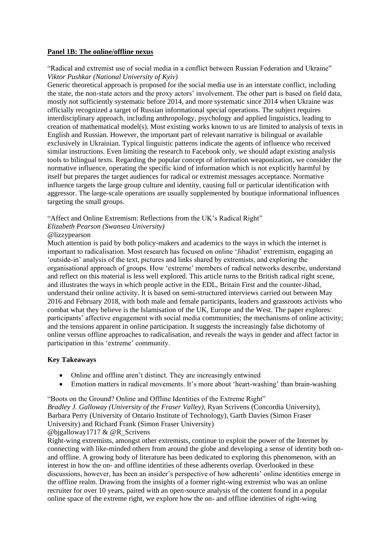#### **Panel 1B: The online/offline nexus**

#### "Radical and extremist use of social media in a conflict between Russian Federation and Ukraine" *Viktor Pushkar (National University of Kyiv)*

Generic theoretical approach is proposed for the social media use in an interstate conflict, including the state, the non-state actors and the proxy actors' involvement. The other part is based on field data, mostly not sufficiently systematic before 2014, and more systematic since 2014 when Ukraine was officially recognized a target of Russian informational special operations. The subject requires interdisciplinary approach, including anthropology, psychology and applied linguistics, leading to creation of mathematical model(s). Most existing works known to us are limited to analysis of texts in English and Russian. However, the important part of relevant narrative is bilingual or available exclusively in Ukrainian. Typical linguistic patterns indicate the agents of influence who received similar instructions. Even limiting the research to Facebook only, we should adapt existing analysis tools to bilingual texts. Regarding the popular concept of information weaponization, we consider the normative influence, operating the specific kind of information which is not explicitly harmful by itself but prepares the target audiences for radical or extremist messages acceptance. Normative influence targets the large group culture and identity, causing full or particular identification with aggressor. The large-scale operations are usually supplemented by boutique informational influences targeting the small groups.

"Affect and Online Extremism: Reflections from the UK's Radical Right"

*Elizabeth Pearson (Swansea University)*

#### @lizzypearson

Much attention is paid by both policy-makers and academics to the ways in which the internet is important to radicalisation. Most research has focused on online 'Jihadist' extremism, engaging an 'outside-in' analysis of the text, pictures and links shared by extremists, and exploring the organisational approach of groups. How 'extreme' members of radical networks describe, understand and reflect on this material is less well explored. This article turns to the British radical right scene, and illustrates the ways in which people active in the EDL, Britain First and the counter-Jihad, understand their online activity. It is based on semi-structured interviews carried out between May 2016 and February 2018, with both male and female participants, leaders and grassroots activists who combat what they believe is the Islamisation of the UK, Europe and the West. The paper explores: participants' affective engagement with social media communities; the mechanisms of online activity; and the tensions apparent in online participation. It suggests the increasingly false dichotomy of online versus offline approaches to radicalisation, and reveals the ways in gender and affect factor in participation in this 'extreme' community.

#### **Key Takeaways**

- Online and offline aren't distinct. They are increasingly entwined
- Emotion matters in radical movements. It's more about 'heart-washing' than brain-washing

"Boots on the Ground? Online and Offline Identities of the Extreme Right"

*Bradley J. Galloway (University of the Fraser Valley),* Ryan Scrivens (Concordia University), Barbara Perry (University of Ontario Institute of Technology), Garth Davies (Simon Fraser University) and Richard Frank (Simon Fraser University) @bjgalloway1717 & @R\_Scrivens

Right-wing extremists, amongst other extremists, continue to exploit the power of the Internet by connecting with like-minded others from around the globe and developing a sense of identity both onand offline. A growing body of literature has been dedicated to exploring this phenomenon, with an interest in how the on- and offline identities of these adherents overlap. Overlooked in these discussions, however, has been an insider's perspective of how adherents' online identities emerge in the offline realm. Drawing from the insights of a former right-wing extremist who was an online recruiter for over 10 years, paired with an open-source analysis of the content found in a popular online space of the extreme right, we explore how the on- and offline identities of right-wing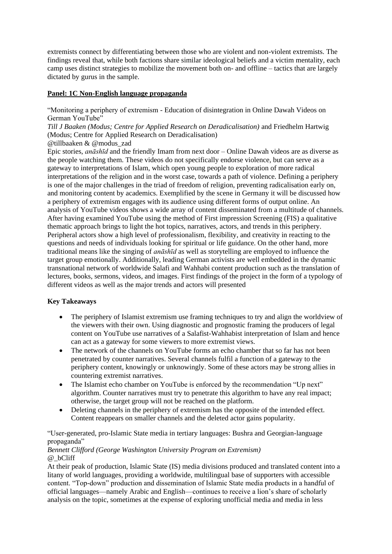extremists connect by differentiating between those who are violent and non-violent extremists. The findings reveal that, while both factions share similar ideological beliefs and a victim mentality, each camp uses distinct strategies to mobilize the movement both on- and offline – tactics that are largely dictated by gurus in the sample.

#### **Panel: 1C Non-English language propaganda**

"Monitoring a periphery of extremism - Education of disintegration in Online Dawah Videos on German YouTube"

*Till J Baaken (Modus; Centre for Applied Research on Deradicalisation)* and Friedhelm Hartwig (Modus; Centre for Applied Research on Deradicalisation)

@tillbaaken & @modus\_zad

Epic stories, *anāshīd* and the friendly Imam from next door – Online Dawah videos are as diverse as the people watching them. These videos do not specifically endorse violence, but can serve as a gateway to interpretations of Islam, which open young people to exploration of more radical interpretations of the religion and in the worst case, towards a path of violence. Defining a periphery is one of the major challenges in the triad of freedom of religion, preventing radicalisation early on, and monitoring content by academics. Exemplified by the scene in Germany it will be discussed how a periphery of extremism engages with its audience using different forms of output online. An analysis of YouTube videos shows a wide array of content disseminated from a multitude of channels. After having examined YouTube using the method of First impression Screening (FIS) a qualitative thematic approach brings to light the hot topics, narratives, actors, and trends in this periphery. Peripheral actors show a high level of professionalism, flexibility, and creativity in reacting to the questions and needs of individuals looking for spiritual or life guidance. On the other hand, more traditional means like the singing of *anāshīd* as well as storytelling are employed to influence the target group emotionally. Additionally, leading German activists are well embedded in the dynamic transnational network of worldwide Salafi and Wahhabi content production such as the translation of lectures, books, sermons, videos, and images. First findings of the project in the form of a typology of different videos as well as the major trends and actors will presented

#### **Key Takeaways**

- The periphery of Islamist extremism use framing techniques to try and align the worldview of the viewers with their own. Using diagnostic and prognostic framing the producers of legal content on YouTube use narratives of a Salafist-Wahhabist interpretation of Islam and hence can act as a gateway for some viewers to more extremist views.
- The network of the channels on YouTube forms an echo chamber that so far has not been penetrated by counter narratives. Several channels fulfil a function of a gateway to the periphery content, knowingly or unknowingly. Some of these actors may be strong allies in countering extremist narratives.
- The Islamist echo chamber on YouTube is enforced by the recommendation "Up next" algorithm. Counter narratives must try to penetrate this algorithm to have any real impact; otherwise, the target group will not be reached on the platform.
- Deleting channels in the periphery of extremism has the opposite of the intended effect. Content reappears on smaller channels and the deleted actor gains popularity.

"User-generated, pro-Islamic State media in tertiary languages: Bushra and Georgian-language propaganda"

#### *Bennett Clifford (George Washington University Program on Extremism)* @\_bCliff

At their peak of production, Islamic State (IS) media divisions produced and translated content into a litany of world languages, providing a worldwide, multilingual base of supporters with accessible content. "Top-down" production and dissemination of Islamic State media products in a handful of official languages—namely Arabic and English—continues to receive a lion's share of scholarly analysis on the topic, sometimes at the expense of exploring unofficial media and media in less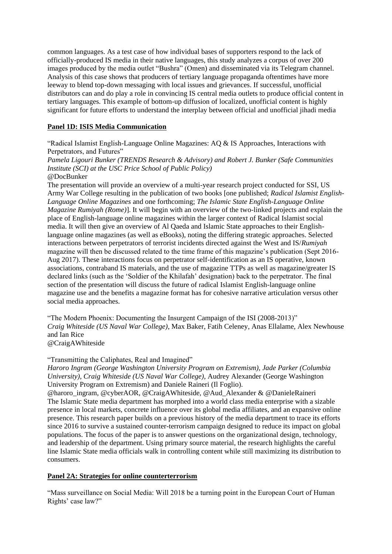common languages. As a test case of how individual bases of supporters respond to the lack of officially-produced IS media in their native languages, this study analyzes a corpus of over 200 images produced by the media outlet "Bushra" (Omen) and disseminated via its Telegram channel. Analysis of this case shows that producers of tertiary language propaganda oftentimes have more leeway to blend top-down messaging with local issues and grievances. If successful, unofficial distributors can and do play a role in convincing IS central media outlets to produce official content in tertiary languages. This example of bottom-up diffusion of localized, unofficial content is highly significant for future efforts to understand the interplay between official and unofficial jihadi media

#### **Panel 1D: ISIS Media Communication**

"Radical Islamist English-Language Online Magazines: AQ & IS Approaches, Interactions with Perpetrators, and Futures"

*Pamela Ligouri Bunker (TRENDS Research & Advisory) and Robert J. Bunker (Safe Communities Institute (SCI) at the USC Price School of Public Policy)* @DocBunker

The presentation will provide an overview of a multi-year research project conducted for SSI, US Army War College resulting in the publication of two books [one published; *Radical Islamist English-Language Online Magazines* and one forthcoming; *The Islamic State English-Language Online Magazine Rumiyah (Rome)*]. It will begin with an overview of the two-linked projects and explain the place of English-language online magazines within the larger context of Radical Islamist social media. It will then give an overview of Al Qaeda and Islamic State approaches to their Englishlanguage online magazines (as well as eBooks), noting the differing strategic approaches. Selected interactions between perpetrators of terrorist incidents directed against the West and IS/*Rumiyah* magazine will then be discussed related to the time frame of this magazine's publication (Sept 2016- Aug 2017). These interactions focus on perpetrator self-identification as an IS operative, known associations, contraband IS materials, and the use of magazine TTPs as well as magazine/greater IS declared links (such as the 'Soldier of the Khilafah' designation) back to the perpetrator. The final section of the presentation will discuss the future of radical Islamist English-language online magazine use and the benefits a magazine format has for cohesive narrative articulation versus other social media approaches.

"The Modern Phoenix: Documenting the Insurgent Campaign of the ISI (2008-2013)" *Craig Whiteside (US Naval War College)*, Max Baker, Fatih Celeney, Anas Ellalame, Alex Newhouse and Ian Rice

@CraigAWhiteside

#### "Transmitting the Caliphates, Real and Imagined"

*Haroro Ingram (George Washington University Program on Extremism), Jade Parker (Columbia University), Craig Whiteside (US Naval War College),* Audrey Alexander (George Washington University Program on Extremism) and Daniele Raineri (Il Foglio).

@haroro\_ingram, @cyberAOR, @CraigAWhiteside, @Aud\_Alexander & @DanieleRaineri The Islamic State media department has morphed into a world class media enterprise with a sizable presence in local markets, concrete influence over its global media affiliates, and an expansive online presence. This research paper builds on a previous history of the media department to trace its efforts since 2016 to survive a sustained counter-terrorism campaign designed to reduce its impact on global populations. The focus of the paper is to answer questions on the organizational design, technology, and leadership of the department. Using primary source material, the research highlights the careful line Islamic State media officials walk in controlling content while still maximizing its distribution to consumers.

#### **Panel 2A: Strategies for online counterterrorism**

"Mass surveillance on Social Media: Will 2018 be a turning point in the European Court of Human Rights' case law?"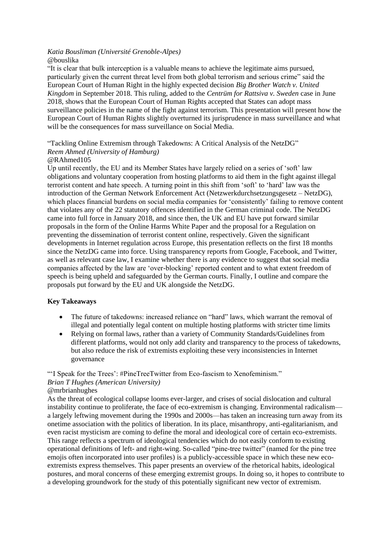#### *Katia Bousliman (Université Grenoble-Alpes)* @bouslika

"It is clear that bulk interception is a valuable means to achieve the legitimate aims pursued, particularly given the current threat level from both global terrorism and serious crime" said the European Court of Human Right in the highly expected decision *Big Brother Watch v. United Kingdom* in September 2018. This ruling, added to the *Centrüm for Rattsiva v. Sweden* case in June 2018, shows that the European Court of Human Rights accepted that States can adopt mass surveillance policies in the name of the fight against terrorism. This presentation will present how the European Court of Human Rights slightly overturned its jurisprudence in mass surveillance and what will be the consequences for mass surveillance on Social Media.

"Tackling Online Extremism through Takedowns: A Critical Analysis of the NetzDG" *Reem Ahmed (University of Hamburg)*

#### @RAhmed105

Up until recently, the EU and its Member States have largely relied on a series of 'soft' law obligations and voluntary cooperation from hosting platforms to aid them in the fight against illegal terrorist content and hate speech. A turning point in this shift from 'soft' to 'hard' law was the introduction of the German Network Enforcement Act (Netzwerkdurchsetzungsgesetz – NetzDG), which places financial burdens on social media companies for 'consistently' failing to remove content that violates any of the 22 statutory offences identified in the German criminal code. The NetzDG came into full force in January 2018, and since then, the UK and EU have put forward similar proposals in the form of the Online Harms White Paper and the proposal for a Regulation on preventing the dissemination of terrorist content online, respectively. Given the significant developments in Internet regulation across Europe, this presentation reflects on the first 18 months since the NetzDG came into force. Using transparency reports from Google, Facebook, and Twitter, as well as relevant case law, I examine whether there is any evidence to suggest that social media companies affected by the law are 'over-blocking' reported content and to what extent freedom of speech is being upheld and safeguarded by the German courts. Finally, I outline and compare the proposals put forward by the EU and UK alongside the NetzDG.

#### **Key Takeaways**

- The future of takedowns: increased reliance on "hard" laws, which warrant the removal of illegal and potentially legal content on multiple hosting platforms with stricter time limits
- Relying on formal laws, rather than a variety of Community Standards/Guidelines from different platforms, would not only add clarity and transparency to the process of takedowns, but also reduce the risk of extremists exploiting these very inconsistencies in Internet governance

# "'I Speak for the Trees': #PineTreeTwitter from Eco-fascism to Xenofeminism." *Brian T Hughes (American University)*

#### @mrbrianhughes

As the threat of ecological collapse looms ever-larger, and crises of social dislocation and cultural instability continue to proliferate, the face of eco-extremism is changing. Environmental radicalism a largely leftwing movement during the 1990s and 2000s—has taken an increasing turn away from its onetime association with the politics of liberation. In its place, misanthropy, anti-egalitarianism, and even racist mysticism are coming to define the moral and ideological core of certain eco-extremists. This range reflects a spectrum of ideological tendencies which do not easily conform to existing operational definitions of left- and right-wing. So-called "pine-tree twitter" (named for the pine tree emojis often incorporated into user profiles) is a publicly-accessible space in which these new ecoextremists express themselves. This paper presents an overview of the rhetorical habits, ideological postures, and moral concerns of these emerging extremist groups. In doing so, it hopes to contribute to a developing groundwork for the study of this potentially significant new vector of extremism.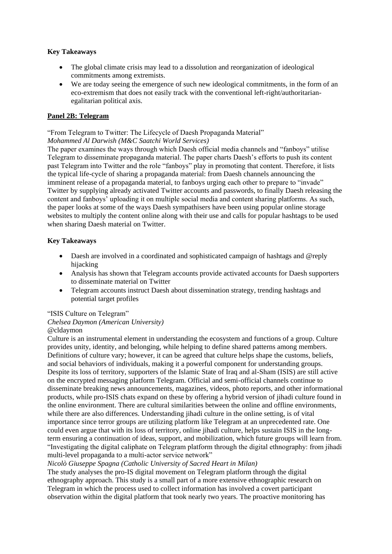#### **Key Takeaways**

- The global climate crisis may lead to a dissolution and reorganization of ideological commitments among extremists.
- We are today seeing the emergence of such new ideological commitments, in the form of an eco-extremism that does not easily track with the conventional left-right/authoritarianegalitarian political axis.

#### **Panel 2B: Telegram**

"From Telegram to Twitter: The Lifecycle of Daesh Propaganda Material"

#### *Mohammed Al Darwish (M&C Saatchi World Services)*

The paper examines the ways through which Daesh official media channels and "fanboys" utilise Telegram to disseminate propaganda material. The paper charts Daesh's efforts to push its content past Telegram into Twitter and the role "fanboys" play in promoting that content. Therefore, it lists the typical life-cycle of sharing a propaganda material: from Daesh channels announcing the imminent release of a propaganda material, to fanboys urging each other to prepare to "invade" Twitter by supplying already activated Twitter accounts and passwords, to finally Daesh releasing the content and fanboys' uploading it on multiple social media and content sharing platforms. As such, the paper looks at some of the ways Daesh sympathisers have been using popular online storage websites to multiply the content online along with their use and calls for popular hashtags to be used when sharing Daesh material on Twitter.

#### **Key Takeaways**

- Daesh are involved in a coordinated and sophisticated campaign of hashtags and @reply hijacking
- Analysis has shown that Telegram accounts provide activated accounts for Daesh supporters to disseminate material on Twitter
- Telegram accounts instruct Daesh about dissemination strategy, trending hashtags and potential target profiles

"ISIS Culture on Telegram"

*Chelsea Daymon (American University)* @cldaymon

Culture is an instrumental element in understanding the ecosystem and functions of a group. Culture provides unity, identity, and belonging, while helping to define shared patterns among members. Definitions of culture vary; however, it can be agreed that culture helps shape the customs, beliefs, and social behaviors of individuals, making it a powerful component for understanding groups. Despite its loss of territory, supporters of the Islamic State of Iraq and al-Sham (ISIS) are still active on the encrypted messaging platform Telegram. Official and semi-official channels continue to disseminate breaking news announcements, magazines, videos, photo reports, and other informational products, while pro-ISIS chats expand on these by offering a hybrid version of jihadi culture found in the online environment. There are cultural similarities between the online and offline environments, while there are also differences. Understanding jihadi culture in the online setting, is of vital importance since terror groups are utilizing platform like Telegram at an unprecedented rate. One could even argue that with its loss of territory, online jihadi culture, helps sustain ISIS in the longterm ensuring a continuation of ideas, support, and mobilization, which future groups will learn from. "Investigating the digital caliphate on Telegram platform through the digital ethnography: from jihadi multi-level propaganda to a multi-actor service network"

#### *Nicolò Giuseppe Spagna (Catholic University of Sacred Heart in Milan)*

The study analyses the pro-IS digital movement on Telegram platform through the digital ethnography approach. This study is a small part of a more extensive ethnographic research on Telegram in which the process used to collect information has involved a covert participant observation within the digital platform that took nearly two years. The proactive monitoring has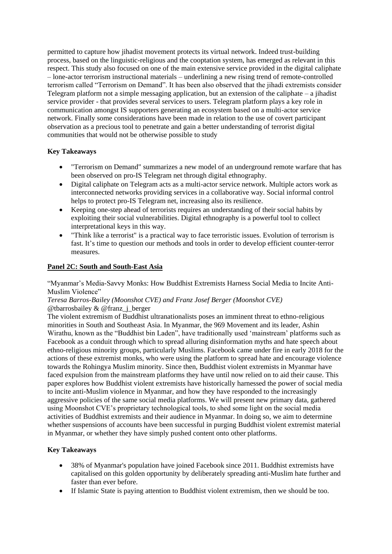permitted to capture how jihadist movement protects its virtual network. Indeed trust-building process, based on the linguistic-religious and the cooptation system, has emerged as relevant in this respect. This study also focused on one of the main extensive service provided in the digital caliphate – lone-actor terrorism instructional materials – underlining a new rising trend of remote-controlled terrorism called "Terrorism on Demand". It has been also observed that the jihadi extremists consider Telegram platform not a simple messaging application, but an extension of the caliphate – a jihadist service provider - that provides several services to users. Telegram platform plays a key role in communication amongst IS supporters generating an ecosystem based on a multi-actor service network. Finally some considerations have been made in relation to the use of covert participant observation as a precious tool to penetrate and gain a better understanding of terrorist digital communities that would not be otherwise possible to study

#### **Key Takeaways**

- "Terrorism on Demand" summarizes a new model of an underground remote warfare that has been observed on pro-IS Telegram net through digital ethnography.
- Digital caliphate on Telegram acts as a multi-actor service network. Multiple actors work as interconnected networks providing services in a collaborative way. Social informal control helps to protect pro-IS Telegram net, increasing also its resilience.
- Keeping one-step ahead of terrorists requires an understanding of their social habits by exploiting their social vulnerabilities. Digital ethnography is a powerful tool to collect interpretational keys in this way.
- "Think like a terrorist" is a practical way to face terroristic issues. Evolution of terrorism is fast. It's time to question our methods and tools in order to develop efficient counter-terror measures.

#### **Panel 2C: South and South-East Asia**

"Myanmar's Media-Savvy Monks: How Buddhist Extremists Harness Social Media to Incite Anti-Muslim Violence"

*Teresa Barros-Bailey (Moonshot CVE) and Franz Josef Berger (Moonshot CVE)* @tharrosbailey  $&$  @franz\_i\_berger

The violent extremism of Buddhist ultranationalists poses an imminent threat to ethno-religious minorities in South and Southeast Asia. In Myanmar, the 969 Movement and its leader, Ashin Wirathu, known as the "Buddhist bin Laden", have traditionally used 'mainstream' platforms such as Facebook as a conduit through which to spread alluring disinformation myths and hate speech about ethno-religious minority groups, particularly Muslims. Facebook came under fire in early 2018 for the actions of these extremist monks, who were using the platform to spread hate and encourage violence towards the Rohingya Muslim minority. Since then, Buddhist violent extremists in Myanmar have faced expulsion from the mainstream platforms they have until now relied on to aid their cause. This paper explores how Buddhist violent extremists have historically harnessed the power of social media to incite anti-Muslim violence in Myanmar, and how they have responded to the increasingly aggressive policies of the same social media platforms. We will present new primary data, gathered using Moonshot CVE's proprietary technological tools, to shed some light on the social media activities of Buddhist extremists and their audience in Myanmar. In doing so, we aim to determine whether suspensions of accounts have been successful in purging Buddhist violent extremist material in Myanmar, or whether they have simply pushed content onto other platforms.

#### **Key Takeaways**

- 38% of Myanmar's population have joined Facebook since 2011. Buddhist extremists have capitalised on this golden opportunity by deliberately spreading anti-Muslim hate further and faster than ever before.
- If Islamic State is paying attention to Buddhist violent extremism, then we should be too.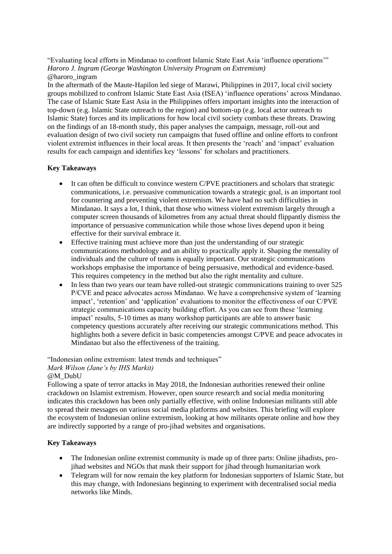"Evaluating local efforts in Mindanao to confront Islamic State East Asia 'influence operations'" *Haroro J. Ingram (George Washington University Program on Extremism)* @haroro\_ingram

In the aftermath of the Maute-Hapilon led siege of Marawi, Philippines in 2017, local civil society groups mobilized to confront Islamic State East Asia (ISEA) 'influence operations' across Mindanao. The case of Islamic State East Asia in the Philippines offers important insights into the interaction of top-down (e.g. Islamic State outreach to the region) and bottom-up (e.g. local actor outreach to Islamic State) forces and its implications for how local civil society combats these threats. Drawing on the findings of an 18-month study, this paper analyses the campaign, message, roll-out and evaluation design of two civil society run campaigns that fused offline and online efforts to confront violent extremist influences in their local areas. It then presents the 'reach' and 'impact' evaluation results for each campaign and identifies key 'lessons' for scholars and practitioners.

#### **Key Takeaways**

- It can often be difficult to convince western C/PVE practitioners and scholars that strategic communications, i.e. persuasive communication towards a strategic goal, is an important tool for countering and preventing violent extremism. We have had no such difficulties in Mindanao. It says a lot, I think, that those who witness violent extremism largely through a computer screen thousands of kilometres from any actual threat should flippantly dismiss the importance of persuasive communication while those whose lives depend upon it being effective for their survival embrace it.
- Effective training must achieve more than just the understanding of our strategic communications methodology and an ability to practically apply it. Shaping the mentality of individuals and the culture of teams is equally important. Our strategic communications workshops emphasise the importance of being persuasive, methodical and evidence-based. This requires competency in the method but also the right mentality and culture.
- In less than two years our team have rolled-out strategic communications training to over 525 P/CVE and peace advocates across Mindanao. We have a comprehensive system of 'learning impact', 'retention' and 'application' evaluations to monitor the effectiveness of our C/PVE strategic communications capacity building effort. As you can see from these 'learning impact' results, 5-10 times as many workshop participants are able to answer basic competency questions accurately after receiving our strategic communications method. This highlights both a severe deficit in basic competencies amongst C/PVE and peace advocates in Mindanao but also the effectiveness of the training.

#### "Indonesian online extremism: latest trends and techniques"

#### *Mark Wilson (Jane's by IHS Markit)*

#### @M\_DubU

Following a spate of terror attacks in May 2018, the Indonesian authorities renewed their online crackdown on Islamist extremism. However, open source research and social media monitoring indicates this crackdown has been only partially effective, with online Indonesian militants still able to spread their messages on various social media platforms and websites. This briefing will explore the ecosystem of Indonesian online extremism, looking at how militants operate online and how they are indirectly supported by a range of pro-jihad websites and organisations.

#### **Key Takeaways**

- The Indonesian online extremist community is made up of three parts: Online jihadists, projihad websites and NGOs that mask their support for jihad through humanitarian work
- Telegram will for now remain the key platform for Indonesian supporters of Islamic State, but this may change, with Indonesians beginning to experiment with decentralised social media networks like Minds.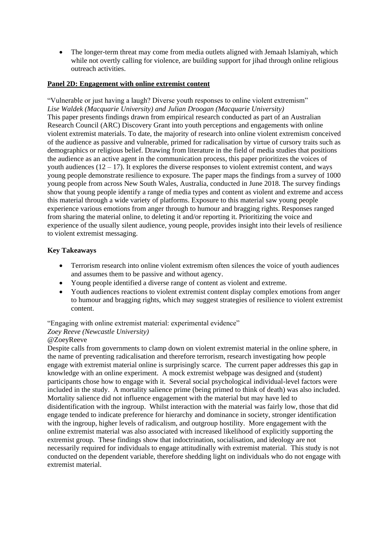• The longer-term threat may come from media outlets aligned with Jemaah Islamiyah, which while not overtly calling for violence, are building support for jihad through online religious outreach activities.

#### **Panel 2D: Engagement with online extremist content**

"Vulnerable or just having a laugh? Diverse youth responses to online violent extremism" *Lise Waldek (Macquarie University) and Julian Droogan (Macquarie University)* This paper presents findings drawn from empirical research conducted as part of an Australian Research Council (ARC) Discovery Grant into youth perceptions and engagements with online violent extremist materials. To date, the majority of research into online violent extremism conceived of the audience as passive and vulnerable, primed for radicalisation by virtue of cursory traits such as demographics or religious belief. Drawing from literature in the field of media studies that positions the audience as an active agent in the communication process, this paper prioritizes the voices of youth audiences  $(12 - 17)$ . It explores the diverse responses to violent extremist content, and ways young people demonstrate resilience to exposure. The paper maps the findings from a survey of 1000 young people from across New South Wales, Australia, conducted in June 2018. The survey findings show that young people identify a range of media types and content as violent and extreme and access this material through a wide variety of platforms. Exposure to this material saw young people experience various emotions from anger through to humour and bragging rights. Responses ranged from sharing the material online, to deleting it and/or reporting it. Prioritizing the voice and experience of the usually silent audience, young people, provides insight into their levels of resilience to violent extremist messaging.

#### **Key Takeaways**

- Terrorism research into online violent extremism often silences the voice of youth audiences and assumes them to be passive and without agency.
- Young people identified a diverse range of content as violent and extreme.
- Youth audiences reactions to violent extremist content display complex emotions from anger to humour and bragging rights, which may suggest strategies of resilience to violent extremist content.

#### "Engaging with online extremist material: experimental evidence"

#### *Zoey Reeve (Newcastle University)*

#### @ZoeyReeve

Despite calls from governments to clamp down on violent extremist material in the online sphere, in the name of preventing radicalisation and therefore terrorism, research investigating how people engage with extremist material online is surprisingly scarce. The current paper addresses this gap in knowledge with an online experiment. A mock extremist webpage was designed and (student) participants chose how to engage with it. Several social psychological individual-level factors were included in the study. A mortality salience prime (being primed to think of death) was also included. Mortality salience did not influence engagement with the material but may have led to disidentification with the ingroup. Whilst interaction with the material was fairly low, those that did engage tended to indicate preference for hierarchy and dominance in society, stronger identification with the ingroup, higher levels of radicalism, and outgroup hostility. More engagement with the online extremist material was also associated with increased likelihood of explicitly supporting the extremist group. These findings show that indoctrination, socialisation, and ideology are not necessarily required for individuals to engage attitudinally with extremist material. This study is not conducted on the dependent variable, therefore shedding light on individuals who do not engage with extremist material.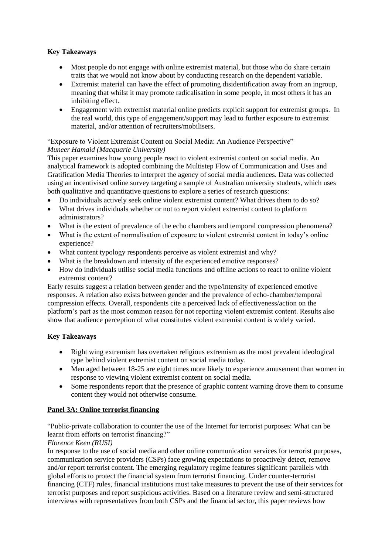#### **Key Takeaways**

- Most people do not engage with online extremist material, but those who do share certain traits that we would not know about by conducting research on the dependent variable.
- Extremist material can have the effect of promoting disidentification away from an ingroup, meaning that whilst it may promote radicalisation in some people, in most others it has an inhibiting effect.
- Engagement with extremist material online predicts explicit support for extremist groups. In the real world, this type of engagement/support may lead to further exposure to extremist material, and/or attention of recruiters/mobilisers.

#### "Exposure to Violent Extremist Content on Social Media: An Audience Perspective" *Muneer Hamaid (Macquarie University)*

This paper examines how young people react to violent extremist content on social media. An analytical framework is adopted combining the Multistep Flow of Communication and Uses and Gratification Media Theories to interpret the agency of social media audiences. Data was collected using an incentivised online survey targeting a sample of Australian university students, which uses both qualitative and quantitative questions to explore a series of research questions:

- Do individuals actively seek online violent extremist content? What drives them to do so?
- What drives individuals whether or not to report violent extremist content to platform administrators?
- What is the extent of prevalence of the echo chambers and temporal compression phenomena?
- What is the extent of normalisation of exposure to violent extremist content in today's online experience?
- What content typology respondents perceive as violent extremist and why?
- What is the breakdown and intensity of the experienced emotive responses?
- How do individuals utilise social media functions and offline actions to react to online violent extremist content?

Early results suggest a relation between gender and the type/intensity of experienced emotive responses. A relation also exists between gender and the prevalence of echo-chamber/temporal compression effects. Overall, respondents cite a perceived lack of effectiveness/action on the platform's part as the most common reason for not reporting violent extremist content. Results also show that audience perception of what constitutes violent extremist content is widely varied.

#### **Key Takeaways**

- Right wing extremism has overtaken religious extremism as the most prevalent ideological type behind violent extremist content on social media today.
- Men aged between 18-25 are eight times more likely to experience amusement than women in response to viewing violent extremist content on social media.
- Some respondents report that the presence of graphic content warning drove them to consume content they would not otherwise consume.

#### **Panel 3A: Online terrorist financing**

"Public-private collaboration to counter the use of the Internet for terrorist purposes: What can be learnt from efforts on terrorist financing?"

#### *Florence Keen (RUSI)*

In response to the use of social media and other online communication services for terrorist purposes, communication service providers (CSPs) face growing expectations to proactively detect, remove and/or report terrorist content. The emerging regulatory regime features significant parallels with global efforts to protect the financial system from terrorist financing. Under counter-terrorist financing (CTF) rules, financial institutions must take measures to prevent the use of their services for terrorist purposes and report suspicious activities. Based on a literature review and semi-structured interviews with representatives from both CSPs and the financial sector, this paper reviews how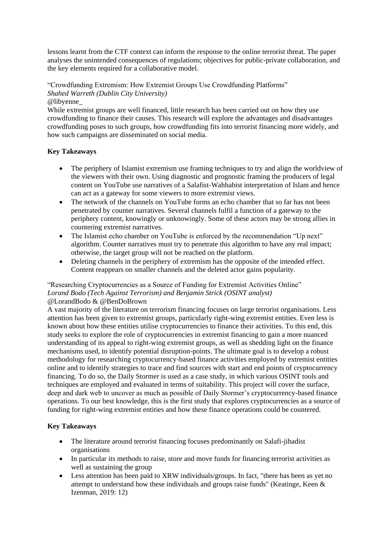lessons learnt from the CTF context can inform the response to the online terrorist threat. The paper analyses the unintended consequences of regulations; objectives for public-private collaboration, and the key elements required for a collaborative model.

"Crowdfunding Extremism: How Extremist Groups Use Crowdfunding Platforms" *Shahed Warreth (Dublin City University)* @libyenne\_

While extremist groups are well financed, little research has been carried out on how they use crowdfunding to finance their causes. This research will explore the advantages and disadvantages crowdfunding poses to such groups, how crowdfunding fits into terrorist financing more widely, and how such campaigns are disseminated on social media.

#### **Key Takeaways**

- The periphery of Islamist extremism use framing techniques to try and align the worldview of the viewers with their own. Using diagnostic and prognostic framing the producers of legal content on YouTube use narratives of a Salafist-Wahhabist interpretation of Islam and hence can act as a gateway for some viewers to more extremist views.
- The network of the channels on YouTube forms an echo chamber that so far has not been penetrated by counter narratives. Several channels fulfil a function of a gateway to the periphery content, knowingly or unknowingly. Some of these actors may be strong allies in countering extremist narratives.
- The Islamist echo chamber on YouTube is enforced by the recommendation "Up next" algorithm. Counter narratives must try to penetrate this algorithm to have any real impact; otherwise, the target group will not be reached on the platform.
- Deleting channels in the periphery of extremism has the opposite of the intended effect. Content reappears on smaller channels and the deleted actor gains popularity.

#### "Researching Cryptocurrencies as a Source of Funding for Extremist Activities Online" *Lorand Bodo (Tech Against Terrorism) and Benjamin Strick (OSINT analyst)* @LorandBodo & @BenDoBrown

A vast majority of the literature on terrorism financing focuses on large terrorist organisations. Less attention has been given to extremist groups, particularly right-wing extremist entities. Even less is known about how these entities utilise cryptocurrencies to finance their activities. To this end, this study seeks to explore the role of cryptocurrencies in extremist financing to gain a more nuanced understanding of its appeal to right-wing extremist groups, as well as shedding light on the finance mechanisms used, to identify potential disruption-points. The ultimate goal is to develop a robust methodology for researching cryptocurrency-based finance activities employed by extremist entities online and to identify strategies to trace and find sources with start and end points of cryptocurrency financing. To do so, the Daily Stormer is used as a case study, in which various OSINT tools and techniques are employed and evaluated in terms of suitability. This project will cover the surface, deep and dark web to uncover as much as possible of Daily Stormer's cryptocurrency-based finance operations. To our best knowledge, this is the first study that explores cryptocurrencies as a source of funding for right-wing extremist entities and how these finance operations could be countered.

#### **Key Takeaways**

- The literature around terrorist financing focuses predominantly on Salafi-jihadist organisations
- In particular its methods to raise, store and move funds for financing terrorist activities as well as sustaining the group
- Less attention has been paid to XRW individuals/groups. In fact, "there has been as yet no attempt to understand how these individuals and groups raise funds" (Keatinge, Keen & Izenman, 2019: 12)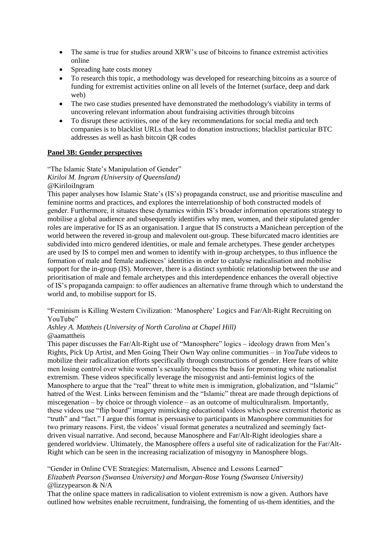- The same is true for studies around XRW's use of bitcoins to finance extremist activities online
- Spreading hate costs money
- To research this topic, a methodology was developed for researching bitcoins as a source of funding for extremist activities online on all levels of the Internet (surface, deep and dark web)
- The two case studies presented have demonstrated the methodology's viability in terms of uncovering relevant information about fundraising activities through bitcoins
- To disrupt these activities, one of the key recommendations for social media and tech companies is to blacklist URLs that lead to donation instructions; blacklist particular BTC addresses as well as hash bitcoin QR codes

#### **Panel 3B: Gender perspectives**

"The Islamic State's Manipulation of Gender"

*Kiriloi M. Ingram (University of Queensland)*

@KiriloiIngram

This paper analyses how Islamic State's (IS's) propaganda construct, use and prioritise masculine and feminine norms and practices, and explores the interrelationship of both constructed models of gender. Furthermore, it situates these dynamics within IS's broader information operations strategy to mobilise a global audience and subsequently identifies why men, women, and their stipulated gender roles are imperative for IS as an organisation. I argue that IS constructs a Manichean perception of the world between the revered in-group and malevolent out-group. These bifurcated macro identities are subdivided into micro gendered identities, or male and female archetypes. These gender archetypes are used by IS to compel men and women to identify with in-group archetypes, to thus influence the formation of male and female audiences' identities in order to catalyse radicalisation and mobilise support for the in-group (IS). Moreover, there is a distinct symbiotic relationship between the use and prioritisation of male and female archetypes and this interdependence enhances the overall objective of IS's propaganda campaign: to offer audiences an alternative frame through which to understand the world and, to mobilise support for IS.

"Feminism is Killing Western Civilization: 'Manosphere' Logics and Far/Alt-Right Recruiting on YouTube"

*Ashley A. Mattheis (University of North Carolina at Chapel Hill)* @aamattheis

This paper discusses the Far/Alt-Right use of "Manosphere" logics – ideology drawn from Men's Rights, Pick Up Artist, and Men Going Their Own Way online communities – in *YouTube* videos to mobilize their radicalization efforts specifically through constructions of gender. Here fears of white men losing control over white women's sexuality becomes the basis for promoting white nationalist extremism. These videos specifically leverage the misogynist and anti-feminist logics of the Manosphere to argue that the "real" threat to white men is immigration, globalization, and "Islamic" hatred of the West. Links between feminism and the "Islamic" threat are made through depictions of miscegenation – by choice or through violence – as an outcome of multiculturalism. Importantly, these videos use "flip board" imagery mimicking educational videos which pose extremist rhetoric as "truth" and "fact." I argue this format is persuasive to participants in Manosphere communities for two primary reasons. First, the videos' visual format generates a neutralized and seemingly factdriven visual narrative. And second, because Manosphere and Far/Alt-Right ideologies share a gendered worldview. Ultimately, the Manosphere offers a useful site of radicalization for the Far/Alt-Right which can be seen in the increasing racialization of misogyny in Manosphere blogs.

"Gender in Online CVE Strategies: Maternalism, Absence and Lessons Learned"

*Elizabeth Pearson (Swansea University) and Morgan-Rose Young (Swansea University)* @lizzypearson & N/A

That the online space matters in radicalisation to violent extremism is now a given. Authors have outlined how websites enable recruitment, fundraising, the fomenting of us-them identities, and the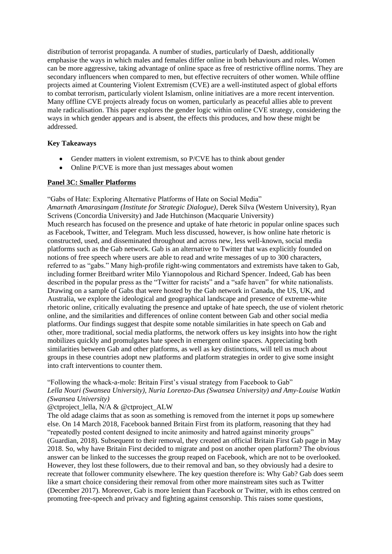distribution of terrorist propaganda. A number of studies, particularly of Daesh, additionally emphasise the ways in which males and females differ online in both behaviours and roles. Women can be more aggressive, taking advantage of online space as free of restrictive offline norms. They are secondary influencers when compared to men, but effective recruiters of other women. While offline projects aimed at Countering Violent Extremism (CVE) are a well-instituted aspect of global efforts to combat terrorism, particularly violent Islamism, online initiatives are a more recent intervention. Many offline CVE projects already focus on women, particularly as peaceful allies able to prevent male radicalisation. This paper explores the gender logic within online CVE strategy, considering the ways in which gender appears and is absent, the effects this produces, and how these might be addressed.

#### **Key Takeaways**

- Gender matters in violent extremism, so  $P/CVE$  has to think about gender
- Online P/CVE is more than just messages about women

#### **Panel 3C: Smaller Platforms**

"Gabs of Hate: Exploring Alternative Platforms of Hate on Social Media"

*Amarnath Amarasingam (Institute for Strategic Dialogue)*, Derek Silva (Western University), Ryan Scrivens (Concordia University) and Jade Hutchinson (Macquarie University) Much research has focused on the presence and uptake of hate rhetoric in popular online spaces such as Facebook, Twitter, and Telegram. Much less discussed, however, is how online hate rhetoric is constructed, used, and disseminated throughout and across new, less well-known, social media platforms such as the Gab network. Gab is an alternative to Twitter that was explicitly founded on notions of free speech where users are able to read and write messages of up to 300 characters, referred to as "gabs." Many high-profile right-wing commentators and extremists have taken to Gab, including former Breitbard writer Milo Yiannopolous and Richard Spencer. Indeed, Gab has been described in the popular press as the "Twitter for racists" and a "safe haven" for white nationalists. Drawing on a sample of Gabs that were hosted by the Gab network in Canada, the US, UK, and Australia, we explore the ideological and geographical landscape and presence of extreme-white rhetoric online, critically evaluating the presence and uptake of hate speech, the use of violent rhetoric online, and the similarities and differences of online content between Gab and other social media platforms. Our findings suggest that despite some notable similarities in hate speech on Gab and other, more traditional, social media platforms, the network offers us key insights into how the right mobilizes quickly and promulgates hate speech in emergent online spaces. Appreciating both similarities between Gab and other platforms, as well as key distinctions, will tell us much about groups in these countries adopt new platforms and platform strategies in order to give some insight into craft interventions to counter them.

#### "Following the whack-a-mole: Britain First's visual strategy from Facebook to Gab"

#### *Lella Nouri (Swansea University), Nuria Lorenzo-Dus (Swansea University) and Amy-Louise Watkin (Swansea University)*

#### @ctproject\_lella, N/A & @ctproject\_ALW

The old adage claims that as soon as something is removed from the internet it pops up somewhere else. On 14 March 2018, Facebook banned Britain First from its platform, reasoning that they had "repeatedly posted content designed to incite animosity and hatred against minority groups" (Guardian, 2018). Subsequent to their removal, they created an official Britain First Gab page in May 2018. So, why have Britain First decided to migrate and post on another open platform? The obvious answer can be linked to the successes the group reaped on Facebook, which are not to be overlooked. However, they lost these followers, due to their removal and ban, so they obviously had a desire to recreate that follower community elsewhere. The key question therefore is: Why Gab? Gab does seem like a smart choice considering their removal from other more mainstream sites such as Twitter (December 2017). Moreover, Gab is more lenient than Facebook or Twitter, with its ethos centred on promoting free-speech and privacy and fighting against censorship. This raises some questions,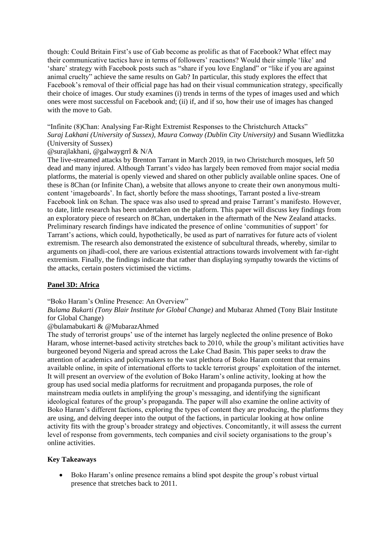though: Could Britain First's use of Gab become as prolific as that of Facebook? What effect may their communicative tactics have in terms of followers' reactions? Would their simple 'like' and 'share' strategy with Facebook posts such as "share if you love England" or "like if you are against animal cruelty" achieve the same results on Gab? In particular, this study explores the effect that Facebook's removal of their official page has had on their visual communication strategy, specifically their choice of images. Our study examines (i) trends in terms of the types of images used and which ones were most successful on Facebook and; (ii) if, and if so, how their use of images has changed with the move to Gab.

"Infinite (8)Chan: Analysing Far-Right Extremist Responses to the Christchurch Attacks" *Suraj Lakhani (University of Sussex), Maura Conway (Dublin City University)* and Susann Wiedlitzka (University of Sussex)

#### @surajlakhani, @galwaygrrl & N/A

The live-streamed attacks by Brenton Tarrant in March 2019, in two Christchurch mosques, left 50 dead and many injured. Although Tarrant's video has largely been removed from major social media platforms, the material is openly viewed and shared on other publicly available online spaces. One of these is 8Chan (or Infinite Chan), a website that allows anyone to create their own anonymous multicontent 'imageboards'. In fact, shortly before the mass shootings, Tarrant posted a live-stream Facebook link on 8chan. The space was also used to spread and praise Tarrant's manifesto. However, to date, little research has been undertaken on the platform. This paper will discuss key findings from an exploratory piece of research on 8Chan, undertaken in the aftermath of the New Zealand attacks. Preliminary research findings have indicated the presence of online 'communities of support' for Tarrant's actions, which could, hypothetically, be used as part of narratives for future acts of violent extremism. The research also demonstrated the existence of subcultural threads, whereby, similar to arguments on jihadi-cool, there are various existential attractions towards involvement with far-right extremism. Finally, the findings indicate that rather than displaying sympathy towards the victims of the attacks, certain posters victimised the victims.

#### **Panel 3D: Africa**

#### "Boko Haram's Online Presence: An Overview"

*Bulama Bukarti (Tony Blair Institute for Global Change)* and Mubaraz Ahmed (Tony Blair Institute for Global Change)

#### @bulamabukarti & @MubarazAhmed

The study of terrorist groups' use of the internet has largely neglected the online presence of Boko Haram, whose internet-based activity stretches back to 2010, while the group's militant activities have burgeoned beyond Nigeria and spread across the Lake Chad Basin. This paper seeks to draw the attention of academics and policymakers to the vast plethora of Boko Haram content that remains available online, in spite of international efforts to tackle terrorist groups' exploitation of the internet. It will present an overview of the evolution of Boko Haram's online activity, looking at how the group has used social media platforms for recruitment and propaganda purposes, the role of mainstream media outlets in amplifying the group's messaging, and identifying the significant ideological features of the group's propaganda. The paper will also examine the online activity of Boko Haram's different factions, exploring the types of content they are producing, the platforms they are using, and delving deeper into the output of the factions, in particular looking at how online activity fits with the group's broader strategy and objectives. Concomitantly, it will assess the current level of response from governments, tech companies and civil society organisations to the group's online activities.

#### **Key Takeaways**

 Boko Haram's online presence remains a blind spot despite the group's robust virtual presence that stretches back to 2011.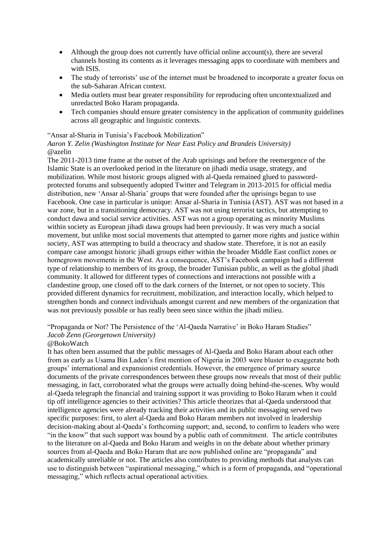- Although the group does not currently have official online account(s), there are several channels hosting its contents as it leverages messaging apps to coordinate with members and with ISIS.
- The study of terrorists' use of the internet must be broadened to incorporate a greater focus on the sub-Saharan African context.
- Media outlets must bear greater responsibility for reproducing often uncontextualized and unredacted Boko Haram propaganda.
- Tech companies should ensure greater consistency in the application of community guidelines across all geographic and linguistic contexts.

"Ansar al-Sharia in Tunisia's Facebook Mobilization"

*Aaron Y. Zelin (Washington Institute for Near East Policy and Brandeis University)* @azelin

The 2011-2013 time frame at the outset of the Arab uprisings and before the reemergence of the Islamic State is an overlooked period in the literature on jihadi media usage, strategy, and mobilization. While most historic groups aligned with al-Qaeda remained glued to passwordprotected forums and subsequently adopted Twitter and Telegram in 2013-2015 for official media distribution, new 'Ansar al-Sharia' groups that were founded after the uprisings began to use Facebook. One case in particular is unique: Ansar al-Sharia in Tunisia (AST). AST was not based in a war zone, but in a transitioning democracy. AST was not using terrorist tactics, but attempting to conduct dawa and social service activities. AST was not a group operating as minority Muslims within society as European jihadi dawa groups had been previously. It was very much a social movement, but unlike most social movements that attempted to garner more rights and justice within society, AST was attempting to build a theocracy and shadow state. Therefore, it is not an easily compare case amongst historic jihadi groups either within the broader Middle East conflict zones or homegrown movements in the West. As a consequence, AST's Facebook campaign had a different type of relationship to members of its group, the broader Tunisian public, as well as the global jihadi community. It allowed for different types of connections and interactions not possible with a clandestine group, one closed off to the dark corners of the Internet, or not open to society. This provided different dynamics for recruitment, mobilization, and interaction locally, which helped to strengthen bonds and connect individuals amongst current and new members of the organization that was not previously possible or has really been seen since within the jihadi milieu.

"Propaganda or Not? The Persistence of the 'Al-Qaeda Narrative' in Boko Haram Studies" *Jacob Zenn (Georgetown University)*

#### @BokoWatch

It has often been assumed that the public messages of Al-Qaeda and Boko Haram about each other from as early as Usama Bin Laden's first mention of Nigeria in 2003 were bluster to exaggerate both groups' international and expansionist credentials. However, the emergence of primary source documents of the private correspondences between these groups now reveals that most of their public messaging, in fact, corroborated what the groups were actually doing behind-the-scenes. Why would al-Qaeda telegraph the financial and training support it was providing to Boko Haram when it could tip off intelligence agencies to their activities? This article theorizes that al-Qaeda understood that intelligence agencies were already tracking their activities and its public messaging served two specific purposes: first, to alert al-Qaeda and Boko Haram members not involved in leadership decision-making about al-Qaeda's forthcoming support; and, second, to confirm to leaders who were "in the know" that such support was bound by a public oath of commitment. The article contributes to the literature on al-Qaeda and Boko Haram and weighs in on the debate about whether primary sources from al-Qaeda and Boko Haram that are now published online are "propaganda" and academically unreliable or not. The articles also contributes to providing methods that analysts can use to distinguish between "aspirational messaging," which is a form of propaganda, and "operational messaging," which reflects actual operational activities.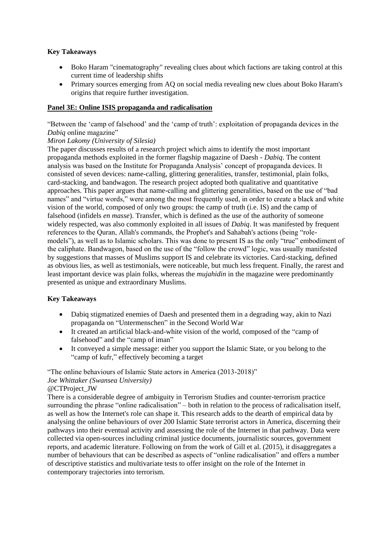#### **Key Takeaways**

- Boko Haram "cinematography" revealing clues about which factions are taking control at this current time of leadership shifts
- Primary sources emerging from AQ on social media revealing new clues about Boko Haram's origins that require further investigation.

#### **Panel 3E: Online ISIS propaganda and radicalisation**

"Between the 'camp of falsehood' and the 'camp of truth': exploitation of propaganda devices in the *Dabiq* online magazine"

#### *Miron Lakomy (University of Silesia)*

The paper discusses results of a research project which aims to identify the most important propaganda methods exploited in the former flagship magazine of Daesh - *Dabiq*. The content analysis was based on the Institute for Propaganda Analysis' concept of propaganda devices. It consisted of seven devices: name-calling, glittering generalities, transfer, testimonial, plain folks, card-stacking, and bandwagon. The research project adopted both qualitative and quantitative approaches. This paper argues that name-calling and glittering generalities, based on the use of "bad names" and "virtue words," were among the most frequently used, in order to create a black and white vision of the world, composed of only two groups: the camp of truth (i.e. IS) and the camp of falsehood (infidels *en masse*). Transfer, which is defined as the use of the authority of someone widely respected, was also commonly exploited in all issues of *Dabiq*. It was manifested by frequent references to the Quran, Allah's commands, the Prophet's and Sahabah's actions (being "rolemodels"), as well as to Islamic scholars. This was done to present IS as the only "true" embodiment of the caliphate. Bandwagon, based on the use of the "follow the crowd" logic, was usually manifested by suggestions that masses of Muslims support IS and celebrate its victories. Card-stacking, defined as obvious lies, as well as testimonials, were noticeable, but much less frequent. Finally, the rarest and least important device was plain folks, whereas the *mujahidin* in the magazine were predominantly presented as unique and extraordinary Muslims.

#### **Key Takeaways**

- Dabiq stigmatized enemies of Daesh and presented them in a degrading way, akin to Nazi propaganda on "Untermenschen" in the Second World War
- It created an artificial black-and-white vision of the world, composed of the "camp of falsehood" and the "camp of iman"
- It conveyed a simple message: either you support the Islamic State, or you belong to the "camp of kufr," effectively becoming a target

"The online behaviours of Islamic State actors in America (2013-2018)"

#### *Joe Whittaker (Swansea University)*

#### @CTProject\_JW

There is a considerable degree of ambiguity in Terrorism Studies and counter-terrorism practice surrounding the phrase "online radicalisation" – both in relation to the process of radicalisation itself, as well as how the Internet's role can shape it. This research adds to the dearth of empirical data by analysing the online behaviours of over 200 Islamic State terrorist actors in America, discerning their pathways into their eventual activity and assessing the role of the Internet in that pathway. Data were collected via open-sources including criminal justice documents, journalistic sources, government reports, and academic literature. Following on from the work of Gill et al. (2015), it disaggregates a number of behaviours that can be described as aspects of "online radicalisation" and offers a number of descriptive statistics and multivariate tests to offer insight on the role of the Internet in contemporary trajectories into terrorism.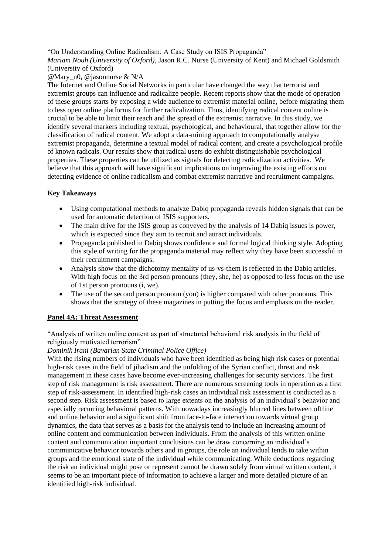"On Understanding Online Radicalism: A Case Study on ISIS Propaganda"

*Mariam Nouh (University of Oxford)*, Jason R.C. Nurse (University of Kent) and Michael Goldsmith (University of Oxford)

#### @Mary\_n0, @jasonnurse & N/A

The Internet and Online Social Networks in particular have changed the way that terrorist and extremist groups can influence and radicalize people. Recent reports show that the mode of operation of these groups starts by exposing a wide audience to extremist material online, before migrating them to less open online platforms for further radicalization. Thus, identifying radical content online is crucial to be able to limit their reach and the spread of the extremist narrative. In this study, we identify several markers including textual, psychological, and behavioural, that together allow for the classification of radical content. We adopt a data-mining approach to computationally analyse extremist propaganda, determine a textual model of radical content, and create a psychological profile of known radicals. Our results show that radical users do exhibit distinguishable psychological properties. These properties can be utilized as signals for detecting radicalization activities. We believe that this approach will have significant implications on improving the existing efforts on detecting evidence of online radicalism and combat extremist narrative and recruitment campaigns.

#### **Key Takeaways**

- Using computational methods to analyze Dabiq propaganda reveals hidden signals that can be used for automatic detection of ISIS supporters.
- The main drive for the ISIS group as conveyed by the analysis of 14 Dabiq issues is power, which is expected since they aim to recruit and attract individuals.
- Propaganda published in Dabiq shows confidence and formal logical thinking style. Adopting this style of writing for the propaganda material may reflect why they have been successful in their recruitment campaigns.
- Analysis show that the dichotomy mentality of us-vs-them is reflected in the Dabiq articles. With high focus on the 3rd person pronouns (they, she, he) as opposed to less focus on the use of 1st person pronouns (i, we).
- The use of the second person pronoun (you) is higher compared with other pronouns. This shows that the strategy of these magazines in putting the focus and emphasis on the reader.

#### **Panel 4A: Threat Assessment**

"Analysis of written online content as part of structured behavioral risk analysis in the field of religiously motivated terrorism"

#### *Dominik Irani (Bavarian State Criminal Police Office)*

With the rising numbers of individuals who have been identified as being high risk cases or potential high-risk cases in the field of jihadism and the unfolding of the Syrian conflict, threat and risk management in these cases have become ever-increasing challenges for security services. The first step of risk management is risk assessment. There are numerous screening tools in operation as a first step of risk-assessment. In identified high-risk cases an individual risk assessment is conducted as a second step. Risk assessment is based to large extents on the analysis of an individual's behavior and especially recurring behavioral patterns. With nowadays increasingly blurred lines between offline and online behavior and a significant shift from face-to-face interaction towards virtual group dynamics, the data that serves as a basis for the analysis tend to include an increasing amount of online content and communication between individuals. From the analysis of this written online content and communication important conclusions can be draw concerning an individual's communicative behavior towards others and in groups, the role an individual tends to take within groups and the emotional state of the individual while communicating. While deductions regarding the risk an individual might pose or represent cannot be drawn solely from virtual written content, it seems to be an important piece of information to achieve a larger and more detailed picture of an identified high-risk individual.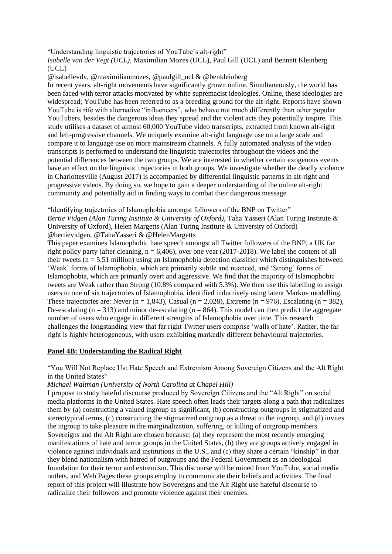"Understanding linguistic trajectories of YouTube's alt-right"

*Isabelle van der Vegt (UCL)*, Maximilian Mozes (UCL), Paul Gill (UCL) and Bennett Kleinberg (UCL)

@isabellevdv, @maximilianmozes, @paulgill\_ucl & @benkleinberg

In recent years, alt-right movements have significantly grown online. Simultaneously, the world has been faced with terror attacks motivated by white supremacist ideologies. Online, these ideologies are widespread; YouTube has been referred to as a breeding ground for the alt-right. Reports have shown YouTube is rife with alternative "influencers", who behave not much differently than other popular YouTubers, besides the dangerous ideas they spread and the violent acts they potentially inspire. This study utilises a dataset of almost 60,000 YouTube video transcripts, extracted from known alt-right and left-progressive channels. We uniquely examine alt-right language use on a large scale and compare it to language use on more mainstream channels. A fully automated analysis of the video transcripts is performed to understand the linguistic trajectories throughout the videos and the potential differences between the two groups. We are interested in whether certain exogenous events have an effect on the linguistic trajectories in both groups. We investigate whether the deadly violence in Charlottesville (August 2017) is accompanied by differential linguistic patterns in alt-right and progressive videos. By doing so, we hope to gain a deeper understanding of the online alt-right community and potentially aid in finding ways to combat their dangerous message

"Identifying trajectories of Islamophobia amongst followers of the BNP on Twitter" *Bertie Vidgen (Alan Turing Institute & University of Oxford)*, Taha Yasseri (Alan Turing Institute & University of Oxford), Helen Margetts (Alan Turing Institute & University of Oxford) @bertievidgen, @TahaYasseri & @HelenMargetts

This paper examines Islamophobic hate speech amongst all Twitter followers of the BNP, a UK far right policy party (after cleaning,  $n = 6,406$ ), over one year (2017-2018). We label the content of all their tweets ( $n = 5.51$  million) using an Islamophobia detection classifier which distinguishes between 'Weak' forms of Islamophobia, which are primarily subtle and nuanced, and 'Strong' forms of Islamophobia, which are primarily overt and aggressive. We find that the majority of Islamophobic tweets are Weak rather than Strong (10.8% compared with 5.3%). We then use this labelling to assign users to one of six trajectories of Islamophobia, identified inductively using latent Markov modelling. These trajectories are: Never (n = 1,843), Casual (n = 2,028), Extreme (n = 976), Escalating (n = 382), De-escalating  $(n = 313)$  and minor de-escalating  $(n = 864)$ . This model can then predict the aggregate number of users who engage in different strengths of Islamophobia over time. This research challenges the longstanding view that far right Twitter users comprise 'walls of hate'. Rather, the far right is highly heterogeneous, with users exhibiting markedly different behavioural trajectories.

#### **Panel 4B: Understanding the Radical Right**

"You Will Not Replace Us: Hate Speech and Extremism Among Sovereign Citizens and the Alt Right in the United States"

*Michael Waltman (University of North Carolina at Chapel Hill)*

I propose to study hateful discourse produced by Sovereign Citizens and the "Alt Right" on social media platforms in the United States. Hate speech often leads their targets along a path that radicalizes them by (a) constructing a valued ingroup as significant, (b) constructing outgroups in stigmatized and stereotypical terms, (c) constructing the stigmatized outgroup as a threat to the ingroup, and (d) invites the ingroup to take pleasure in the marginalization, suffering, or killing of outgroup members. Sovereigns and the Alt Right are chosen because: (a) they represent the most recently emerging manifestations of hate and terror groups in the United States, (b) they are groups actively engaged in violence against individuals and institutions in the U.S., and (c) they share a certain "kinship" in that they blend nationalism with hatred of outgroups and the Federal Government as an ideological foundation for their terror and extremism. This discourse will be mined from YouTube, social media outlets, and Web Pages these groups employ to communicate their beliefs and activities. The final report of this project will illustrate how Sovereigns and the Alt Right use hateful discourse to radicalize their followers and promote violence against their enemies.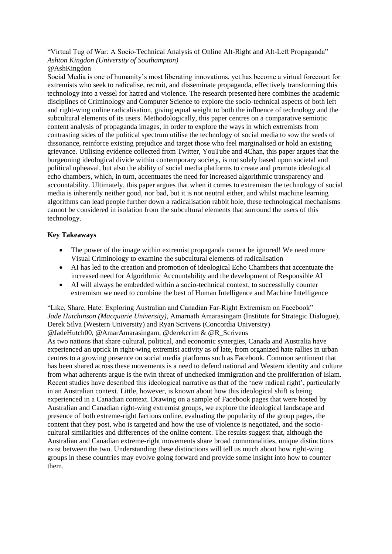"Virtual Tug of War: A Socio-Technical Analysis of Online Alt-Right and Alt-Left Propaganda" *Ashton Kingdon (University of Southampton)*

#### @AshKingdon

Social Media is one of humanity's most liberating innovations, yet has become a virtual forecourt for extremists who seek to radicalise, recruit, and disseminate propaganda, effectively transforming this technology into a vessel for hatred and violence. The research presented here combines the academic disciplines of Criminology and Computer Science to explore the socio-technical aspects of both left and right-wing online radicalisation, giving equal weight to both the influence of technology and the subcultural elements of its users. Methodologically, this paper centres on a comparative semiotic content analysis of propaganda images, in order to explore the ways in which extremists from contrasting sides of the political spectrum utilise the technology of social media to sow the seeds of dissonance, reinforce existing prejudice and target those who feel marginalised or hold an existing grievance. Utilising evidence collected from Twitter, YouTube and 4Chan, this paper argues that the burgeoning ideological divide within contemporary society, is not solely based upon societal and political upheaval, but also the ability of social media platforms to create and promote ideological echo chambers, which, in turn, accentuates the need for increased algorithmic transparency and accountability. Ultimately, this paper argues that when it comes to extremism the technology of social media is inherently neither good, nor bad, but it is not neutral either, and whilst machine learning algorithms can lead people further down a radicalisation rabbit hole, these technological mechanisms cannot be considered in isolation from the subcultural elements that surround the users of this technology.

#### **Key Takeaways**

- The power of the image within extremist propaganda cannot be ignored! We need more Visual Criminology to examine the subcultural elements of radicalisation
- AI has led to the creation and promotion of ideological Echo Chambers that accentuate the increased need for Algorithmic Accountability and the development of Responsible AI
- AI will always be embedded within a socio-technical context, to successfully counter extremism we need to combine the best of Human Intelligence and Machine Intelligence

"Like, Share, Hate: Exploring Australian and Canadian Far-Right Extremism on Facebook" *Jade Hutchinson (Macquarie University)*, Amarnath Amarasingam (Institute for Strategic Dialogue), Derek Silva (Western University) and Ryan Scrivens (Concordia University) @JadeHutch00, @AmarAmarasingam, @derekcrim & @R\_Scrivens

As two nations that share cultural, political, and economic synergies, Canada and Australia have experienced an uptick in right-wing extremist activity as of late, from organized hate rallies in urban centres to a growing presence on social media platforms such as Facebook. Common sentiment that has been shared across these movements is a need to defend national and Western identity and culture from what adherents argue is the twin threat of unchecked immigration and the proliferation of Islam. Recent studies have described this ideological narrative as that of the 'new radical right', particularly in an Australian context. Little, however, is known about how this ideological shift is being experienced in a Canadian context. Drawing on a sample of Facebook pages that were hosted by Australian and Canadian right-wing extremist groups, we explore the ideological landscape and presence of both extreme-right factions online, evaluating the popularity of the group pages, the content that they post, who is targeted and how the use of violence is negotiated, and the sociocultural similarities and differences of the online content. The results suggest that, although the Australian and Canadian extreme-right movements share broad commonalities, unique distinctions exist between the two. Understanding these distinctions will tell us much about how right-wing groups in these countries may evolve going forward and provide some insight into how to counter them.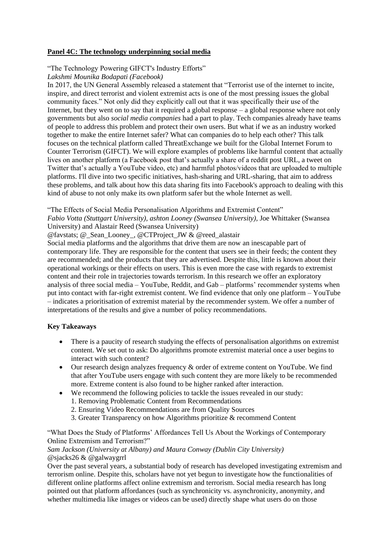#### **Panel 4C: The technology underpinning social media**

#### "The Technology Powering GIFCT's Industry Efforts"

*Lakshmi Mounika Bodapati (Facebook)*

In 2017, the UN General Assembly released a statement that "Terrorist use of the internet to incite, inspire, and direct terrorist and violent extremist acts is one of the most pressing issues the global community faces." Not only did they explicitly call out that it was specifically their use of the Internet, but they went on to say that it required a global response – a global response where not only governments but also *social media companies* had a part to play. Tech companies already have teams of people to address this problem and protect their own users. But what if we as an industry worked together to make the entire Internet safer? What can companies do to help each other? This talk focuses on the technical platform called ThreatExchange we built for the Global Internet Forum to Counter Terrorism (GIFCT). We will explore examples of problems like harmful content that actually lives on another platform (a Facebook post that's actually a share of a reddit post URL, a tweet on Twitter that's actually a YouTube video, etc) and harmful photos/videos that are uploaded to multiple platforms. I'll dive into two specific initiatives, hash-sharing and URL-sharing, that aim to address these problems, and talk about how this data sharing fits into Facebook's approach to dealing with this kind of abuse to not only make its own platform safer but the whole Internet as well.

"The Effects of Social Media Personalisation Algorithms and Extremist Content"

*Fabio Votta (Stuttgart University), ashton Looney (Swansea University),* Joe Whittaker (Swansea University) and Alastair Reed (Swansea University)

@favstats; @\_Sean\_Looney\_, @CTProject\_JW & @reed\_alastair

Social media platforms and the algorithms that drive them are now an inescapable part of contemporary life. They are responsible for the content that users see in their feeds; the content they are recommended; and the products that they are advertised. Despite this, little is known about their operational workings or their effects on users. This is even more the case with regards to extremist content and their role in trajectories towards terrorism. In this research we offer an exploratory analysis of three social media – YouTube, Reddit, and Gab – platforms' recommender systems when put into contact with far-right extremist content. We find evidence that only one platform – YouTube – indicates a prioritisation of extremist material by the recommender system. We offer a number of interpretations of the results and give a number of policy recommendations.

#### **Key Takeaways**

- There is a paucity of research studying the effects of personalisation algorithms on extremist content. We set out to ask: Do algorithms promote extremist material once a user begins to interact with such content?
- Our research design analyzes frequency & order of extreme content on YouTube. We find that after YouTube users engage with such content they are more likely to be recommended more. Extreme content is also found to be higher ranked after interaction.
- We recommend the following policies to tackle the issues revealed in our study:
	- 1. Removing Problematic Content from Recommendations
	- 2. Ensuring Video Recommendations are from Quality Sources
	- 3. Greater Transparency on how Algorithms prioritize & recommend Content

"What Does the Study of Platforms' Affordances Tell Us About the Workings of Contemporary Online Extremism and Terrorism?"

#### *Sam Jackson (University at Albany) and Maura Conway (Dublin City University)* @sjacks26 & @galwaygrrl

Over the past several years, a substantial body of research has developed investigating extremism and terrorism online. Despite this, scholars have not yet begun to investigate how the functionalities of different online platforms affect online extremism and terrorism. Social media research has long pointed out that platform affordances (such as synchronicity vs. asynchronicity, anonymity, and whether multimedia like images or videos can be used) directly shape what users do on those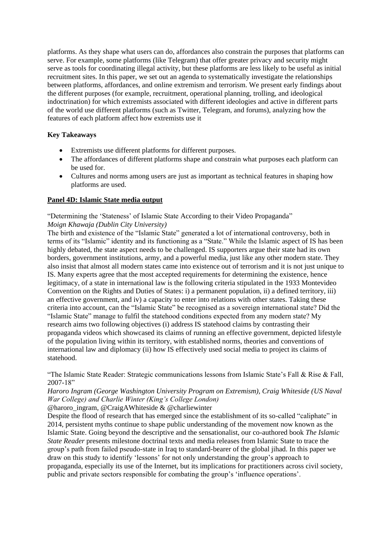platforms. As they shape what users can do, affordances also constrain the purposes that platforms can serve. For example, some platforms (like Telegram) that offer greater privacy and security might serve as tools for coordinating illegal activity, but these platforms are less likely to be useful as initial recruitment sites. In this paper, we set out an agenda to systematically investigate the relationships between platforms, affordances, and online extremism and terrorism. We present early findings about the different purposes (for example, recruitment, operational planning, trolling, and ideological indoctrination) for which extremists associated with different ideologies and active in different parts of the world use different platforms (such as Twitter, Telegram, and forums), analyzing how the features of each platform affect how extremists use it

#### **Key Takeaways**

- Extremists use different platforms for different purposes.
- The affordances of different platforms shape and constrain what purposes each platform can be used for.
- Cultures and norms among users are just as important as technical features in shaping how platforms are used.

#### **Panel 4D: Islamic State media output**

"Determining the 'Stateness' of Islamic State According to their Video Propaganda"

#### *Moign Khawaja (Dublin City University)*

The birth and existence of the "Islamic State" generated a lot of international controversy, both in terms of its "Islamic" identity and its functioning as a "State." While the Islamic aspect of IS has been highly debated, the state aspect needs to be challenged. IS supporters argue their state had its own borders, government institutions, army, and a powerful media, just like any other modern state. They also insist that almost all modern states came into existence out of terrorism and it is not just unique to IS. Many experts agree that the most accepted requirements for determining the existence, hence legitimacy, of a state in international law is the following criteria stipulated in the 1933 Montevideo Convention on the Rights and Duties of States: i) a permanent population, ii) a defined territory, iii) an effective government, and iv) a capacity to enter into relations with other states. Taking these criteria into account, can the "Islamic State" be recognised as a sovereign international state? Did the "Islamic State" manage to fulfil the statehood conditions expected from any modern state? My research aims two following objectives (i) address IS statehood claims by contrasting their propaganda videos which showcased its claims of running an effective government, depicted lifestyle of the population living within its territory, with established norms, theories and conventions of international law and diplomacy (ii) how IS effectively used social media to project its claims of statehood.

"The Islamic State Reader: Strategic communications lessons from Islamic State's Fall & Rise & Fall, 2007-18"

*Haroro Ingram (George Washington University Program on Extremism), Craig Whiteside (US Naval War College) and Charlie Winter (King's College London)*

@haroro\_ingram, @CraigAWhiteside & @charliewinter

Despite the flood of research that has emerged since the establishment of its so-called "caliphate" in 2014, persistent myths continue to shape public understanding of the movement now known as the Islamic State. Going beyond the descriptive and the sensationalist, our co-authored book *The Islamic State Reader* presents milestone doctrinal texts and media releases from Islamic State to trace the group's path from failed pseudo-state in Iraq to standard-bearer of the global jihad. In this paper we draw on this study to identify 'lessons' for not only understanding the group's approach to propaganda, especially its use of the Internet, but its implications for practitioners across civil society, public and private sectors responsible for combating the group's 'influence operations'.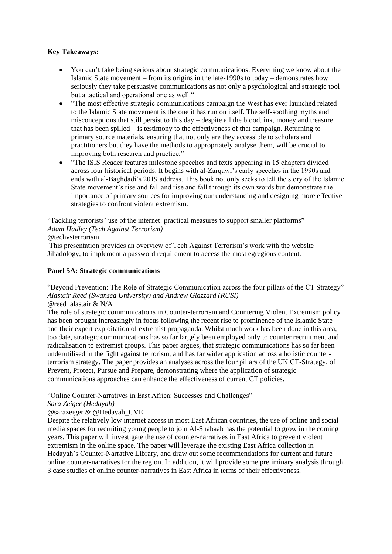#### **Key Takeaways:**

- You can't fake being serious about strategic communications. Everything we know about the Islamic State movement – from its origins in the late-1990s to today – demonstrates how seriously they take persuasive communications as not only a psychological and strategic tool but a tactical and operational one as well."
- "The most effective strategic communications campaign the West has ever launched related to the Islamic State movement is the one it has run on itself. The self-soothing myths and misconceptions that still persist to this day – despite all the blood, ink, money and treasure that has been spilled – is testimony to the effectiveness of that campaign. Returning to primary source materials, ensuring that not only are they accessible to scholars and practitioners but they have the methods to appropriately analyse them, will be crucial to improving both research and practice."
- "The ISIS Reader features milestone speeches and texts appearing in 15 chapters divided across four historical periods. It begins with al-Zarqawi's early speeches in the 1990s and ends with al-Baghdadi's 2019 address. This book not only seeks to tell the story of the Islamic State movement's rise and fall and rise and fall through its own words but demonstrate the importance of primary sources for improving our understanding and designing more effective strategies to confront violent extremism.

"Tackling terrorists' use of the internet: practical measures to support smaller platforms" *Adam Hadley (Tech Against Terrorism)*

@techvsterrorism

This presentation provides an overview of Tech Against Terrorism's work with the website Jihadology, to implement a password requirement to access the most egregious content.

#### **Panel 5A: Strategic communications**

"Beyond Prevention: The Role of Strategic Communication across the four pillars of the CT Strategy" *Alastair Reed (Swansea University) and Andrew Glazzard (RUSI)* @reed\_alastair & N/A

The role of strategic communications in Counter-terrorism and Countering Violent Extremism policy has been brought increasingly in focus following the recent rise to prominence of the Islamic State and their expert exploitation of extremist propaganda. Whilst much work has been done in this area, too date, strategic communications has so far largely been employed only to counter recruitment and radicalisation to extremist groups. This paper argues, that strategic communications has so far been underutilised in the fight against terrorism, and has far wider application across a holistic counterterrorism strategy. The paper provides an analyses across the four pillars of the UK CT-Strategy, of Prevent, Protect, Pursue and Prepare, demonstrating where the application of strategic communications approaches can enhance the effectiveness of current CT policies.

"Online Counter-Narratives in East Africa: Successes and Challenges"

*Sara Zeiger (Hedayah)*

#### @sarazeiger & @Hedayah\_CVE

Despite the relatively low internet access in most East African countries, the use of online and social media spaces for recruiting young people to join Al-Shabaab has the potential to grow in the coming years. This paper will investigate the use of counter-narratives in East Africa to prevent violent extremism in the online space. The paper will leverage the existing East Africa collection in Hedayah's Counter-Narrative Library, and draw out some recommendations for current and future online counter-narratives for the region. In addition, it will provide some preliminary analysis through 3 case studies of online counter-narratives in East Africa in terms of their effectiveness.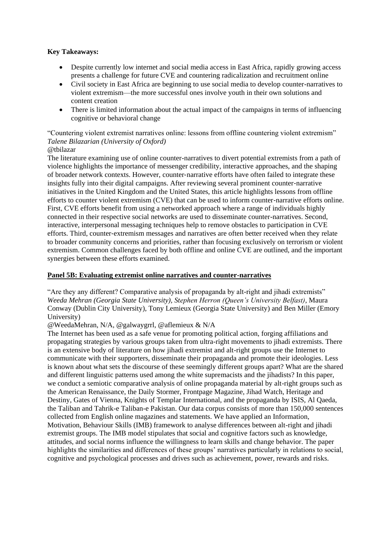#### **Key Takeaways:**

- Despite currently low internet and social media access in East Africa, rapidly growing access presents a challenge for future CVE and countering radicalization and recruitment online
- Civil society in East Africa are beginning to use social media to develop counter-narratives to violent extremism—the more successful ones involve youth in their own solutions and content creation
- There is limited information about the actual impact of the campaigns in terms of influencing cognitive or behavioral change

#### "Countering violent extremist narratives online: lessons from offline countering violent extremism" *Talene Bilazarian (University of Oxford)* @tbilazar

The literature examining use of online counter-narratives to divert potential extremists from a path of violence highlights the importance of messenger credibility, interactive approaches, and the shaping of broader network contexts. However, counter‐narrative efforts have often failed to integrate these insights fully into their digital campaigns. After reviewing several prominent counter-narrative initiatives in the United Kingdom and the United States, this article highlights lessons from offline efforts to counter violent extremism (CVE) that can be used to inform counter-narrative efforts online. First, CVE efforts benefit from using a networked approach where a range of individuals highly connected in their respective social networks are used to disseminate counter-narratives. Second, interactive, interpersonal messaging techniques help to remove obstacles to participation in CVE efforts. Third, counter‐extremism messages and narratives are often better received when they relate to broader community concerns and priorities, rather than focusing exclusively on terrorism or violent extremism. Common challenges faced by both offline and online CVE are outlined, and the important synergies between these efforts examined.

#### **Panel 5B: Evaluating extremist online narratives and counter-narratives**

"Are they any different? Comparative analysis of propaganda by alt-right and jihadi extremists" *Weeda Mehran (Georgia State University), Stephen Herron (Queen's University Belfast)*, Maura Conway (Dublin City University), Tony Lemieux (Georgia State University) and Ben Miller (Emory University)

@WeedaMehran, N/A, @galwaygrrl, @aflemieux & N/A

The Internet has been used as a safe venue for promoting political action, forging affiliations and propagating strategies by various groups taken from ultra-right movements to jihadi extremists. There is an extensive body of literature on how jihadi extremist and alt-right groups use the Internet to communicate with their supporters, disseminate their propaganda and promote their ideologies. Less is known about what sets the discourse of these seemingly different groups apart? What are the shared and different linguistic patterns used among the white supremacists and the jihadists? In this paper, we conduct a semiotic comparative analysis of online propaganda material by alt-right groups such as the American Renaissance, the Daily Stormer, Frontpage Magazine, Jihad Watch, Heritage and Destiny, Gates of Vienna, Knights of Templar International, and the propaganda by ISIS, Al Qaeda, the Taliban and Tahrik-e Taliban-e Pakistan. Our data corpus consists of more than 150,000 sentences collected from English online magazines and statements. We have applied an Information, Motivation, Behaviour Skills (IMB) framework to analyse differences between alt-right and jihadi extremist groups. The IMB model stipulates that social and cognitive factors such as knowledge, attitudes, and social norms influence the willingness to learn skills and change behavior. The paper highlights the similarities and differences of these groups' narratives particularly in relations to social, cognitive and psychological processes and drives such as achievement, power, rewards and risks.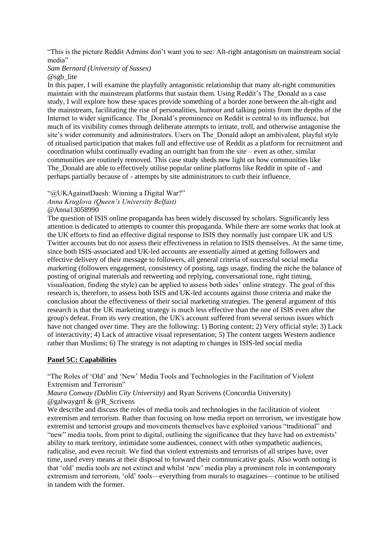"This is the picture Reddit Admins don't want you to see: Alt-right antagonism on mainstream social media"

#### *Sam Bernard (University of Sussex)*

@sgb\_lite

In this paper, I will examine the playfully antagonistic relationship that many alt-right communities maintain with the mainstream platforms that sustain them. Using Reddit's The\_Donald as a case study, I will explore how these spaces provide something of a border zone between the alt-right and the mainstream, facilitating the rise of personalities, humour and talking points from the depths of the Internet to wider significance. The\_Donald's prominence on Reddit is central to its influence, but much of its visibility comes through deliberate attempts to irritate, troll, and otherwise antagonise the site's wider community and administrators. Users on The\_Donald adopt an ambivalent, playful style of ritualised participation that makes full and effective use of Reddit as a platform for recruitment and coordination whilst continually evading an outright ban from the site – even as other, similar communities are routinely removed. This case study sheds new light on how communities like The\_Donald are able to effectively utilise popular online platforms like Reddit in spite of - and perhaps partially because of - attempts by site administrators to curb their influence.

"@UKAgainstDaesh: Winning a Digital War?"

*Anna Kruglova (Queen's University Belfast)*

@Anna13058990

The question of ISIS online propaganda has been widely discussed by scholars. Significantly less attention is dedicated to attempts to counter this propaganda. While there are some works that look at the UK efforts to find an effective digital response to ISIS they normally just compare UK and US Twitter accounts but do not assess their effectiveness in relation to ISIS themselves. At the same time, since both ISIS-associated and UK-led accounts are essentially aimed at getting followers and effective delivery of their message to followers, all general criteria of successful social media marketing (followers engagement, consistency of posting, tags usage, finding the niche the balance of posting of original materials and retweeting and replying, conversational tone, right timing, visualisation, finding the style) can be applied to assess both sides' online strategy. The goal of this research is, therefore, to assess both ISIS and UK-led accounts against those criteria and make the conclusion about the effectiveness of their social marketing strategies. The general argument of this research is that the UK marketing strategy is much less effective than the one of ISIS even after the group's defeat. From its very creation, the UK's account suffered from several serious issues which have not changed over time. They are the following: 1) Boring content; 2) Very official style; 3) Lack of interactivity; 4) Lack of attractive visual representation; 5) The content targets Western audience rather than Muslims; 6) The strategy is not adapting to changes in ISIS-led social media

#### **Panel 5C: Capabilities**

"The Roles of 'Old' and 'New' Media Tools and Technologies in the Facilitation of Violent Extremism and Terrorism"

*Maura Conway (Dublin City University)* and Ryan Scrivens (Concordia University) @galwaygrrl & @R\_Scrivens

We describe and discuss the roles of media tools and technologies in the facilitation of violent extremism and terrorism. Rather than focusing on how media report on terrorism, we investigate how extremist and terrorist groups and movements themselves have exploited various "traditional" and "new" media tools, from print to digital, outlining the significance that they have had on extremists' ability to mark territory, intimidate some audiences, connect with other sympathetic audiences, radicalise, and even recruit. We find that violent extremists and terrorists of all stripes have, over time, used every means at their disposal to forward their communicative goals. Also worth noting is that 'old' media tools are not extinct and whilst 'new' media play a prominent role in contemporary extremism and terrorism, 'old' tools—everything from murals to magazines—continue to be utilised in tandem with the former.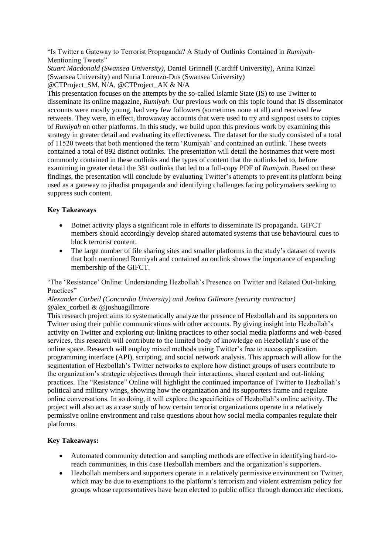"Is Twitter a Gateway to Terrorist Propaganda? A Study of Outlinks Contained in *Rumiyah*-Mentioning Tweets"

*Stuart Macdonald (Swansea University)*, Daniel Grinnell (Cardiff University), Anina Kinzel (Swansea University) and Nuria Lorenzo-Dus (Swansea University) @CTProject\_SM, N/A, @CTProject\_AK & N/A

This presentation focuses on the attempts by the so-called Islamic State (IS) to use Twitter to disseminate its online magazine, *Rumiyah*. Our previous work on this topic found that IS disseminator accounts were mostly young, had very few followers (sometimes none at all) and received few retweets. They were, in effect, throwaway accounts that were used to try and signpost users to copies of *Rumiyah* on other platforms. In this study, we build upon this previous work by examining this strategy in greater detail and evaluating its effectiveness. The dataset for the study consisted of a total of 11520 tweets that both mentioned the term 'Rumiyah' and contained an outlink. These tweets

contained a total of 892 distinct outlinks. The presentation will detail the hostnames that were most commonly contained in these outlinks and the types of content that the outlinks led to, before examining in greater detail the 381 outlinks that led to a full-copy PDF of *Rumiyah*. Based on these findings, the presentation will conclude by evaluating Twitter's attempts to prevent its platform being used as a gateway to jihadist propaganda and identifying challenges facing policymakers seeking to suppress such content.

#### **Key Takeaways**

- Botnet activity plays a significant role in efforts to disseminate IS propaganda. GIFCT members should accordingly develop shared automated systems that use behavioural cues to block terrorist content.
- The large number of file sharing sites and smaller platforms in the study's dataset of tweets that both mentioned Rumiyah and contained an outlink shows the importance of expanding membership of the GIFCT.

"The 'Resistance' Online: Understanding Hezbollah's Presence on Twitter and Related Out-linking Practices"

#### *Alexander Corbeil (Concordia University) and Joshua Gillmore (security contractor)*  $@alex$  corbeil &  $@joshuagillmore$

This research project aims to systematically analyze the presence of Hezbollah and its supporters on Twitter using their public communications with other accounts. By giving insight into Hezbollah's activity on Twitter and exploring out-linking practices to other social media platforms and web-based services, this research will contribute to the limited body of knowledge on Hezbollah's use of the online space. Research will employ mixed methods using Twitter's free to access application programming interface (API), scripting, and social network analysis. This approach will allow for the segmentation of Hezbollah's Twitter networks to explore how distinct groups of users contribute to the organization's strategic objectives through their interactions, shared content and out-linking practices. The "Resistance" Online will highlight the continued importance of Twitter to Hezbollah's political and military wings, showing how the organization and its supporters frame and regulate online conversations. In so doing, it will explore the specificities of Hezbollah's online activity. The project will also act as a case study of how certain terrorist organizations operate in a relatively permissive online environment and raise questions about how social media companies regulate their platforms.

#### **Key Takeaways:**

- Automated community detection and sampling methods are effective in identifying hard-toreach communities, in this case Hezbollah members and the organization's supporters.
- Hezbollah members and supporters operate in a relatively permissive environment on Twitter, which may be due to exemptions to the platform's terrorism and violent extremism policy for groups whose representatives have been elected to public office through democratic elections.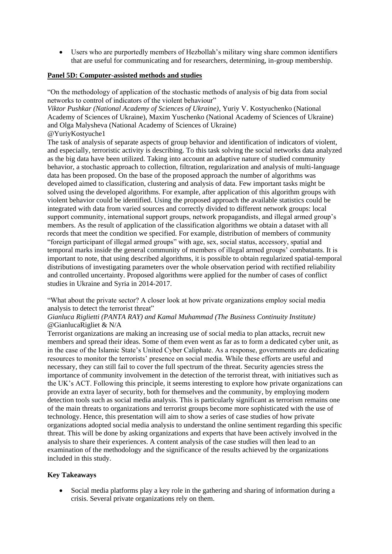Users who are purportedly members of Hezbollah's military wing share common identifiers that are useful for communicating and for researchers, determining, in-group membership.

#### **Panel 5D: Computer-assisted methods and studies**

"On the methodology of application of the stochastic methods of analysis of big data from social networks to control of indicators of the violent behaviour"

*Viktor Pushkar (National Academy of Sciences of Ukraine)*, Yuriy V. Kostyuchenko (National Academy of Sciences of Ukraine), Maxim Yuschenko (National Academy of Sciences of Ukraine) and Olga Malysheva (National Academy of Sciences of Ukraine) @YuriyKostyuche1

The task of analysis of separate aspects of group behavior and identification of indicators of violent, and especially, terroristic activity is describing. To this task solving the social networks data analyzed as the big data have been utilized. Taking into account an adaptive nature of studied community behavior, a stochastic approach to collection, filtration, regularization and analysis of multi-language data has been proposed. On the base of the proposed approach the number of algorithms was developed aimed to classification, clustering and analysis of data. Few important tasks might be solved using the developed algorithms. For example, after application of this algorithm groups with violent behavior could be identified. Using the proposed approach the available statistics could be integrated with data from varied sources and correctly divided to different network groups: local support community, international support groups, network propagandists, and illegal armed group's members. As the result of application of the classification algorithms we obtain a dataset with all records that meet the condition we specified. For example, distribution of members of community "foreign participant of illegal armed groups" with age, sex, social status, accessory, spatial and temporal marks inside the general community of members of illegal armed groups' combatants. It is important to note, that using described algorithms, it is possible to obtain regularized spatial-temporal distributions of investigating parameters over the whole observation period with rectified reliability and controlled uncertainty. Proposed algorithms were applied for the number of cases of conflict studies in Ukraine and Syria in 2014-2017.

"What about the private sector? A closer look at how private organizations employ social media analysis to detect the terrorist threat"

#### *Gianluca Riglietti (PANTA RAY) and Kamal Muhammad (The Business Continuity Institute)* @GianlucaRigliet & N/A

Terrorist organizations are making an increasing use of social media to plan attacks, recruit new members and spread their ideas. Some of them even went as far as to form a dedicated cyber unit, as in the case of the Islamic State's United Cyber Caliphate. As a response, governments are dedicating resources to monitor the terrorists' presence on social media. While these efforts are useful and necessary, they can still fail to cover the full spectrum of the threat. Security agencies stress the importance of community involvement in the detection of the terrorist threat, with initiatives such as the UK's ACT. Following this principle, it seems interesting to explore how private organizations can provide an extra layer of security, both for themselves and the community, by employing modern detection tools such as social media analysis. This is particularly significant as terrorism remains one of the main threats to organizations and terrorist groups become more sophisticated with the use of technology. Hence, this presentation will aim to show a series of case studies of how private organizations adopted social media analysis to understand the online sentiment regarding this specific threat. This will be done by asking organizations and experts that have been actively involved in the analysis to share their experiences. A content analysis of the case studies will then lead to an examination of the methodology and the significance of the results achieved by the organizations included in this study.

#### **Key Takeaways**

 Social media platforms play a key role in the gathering and sharing of information during a crisis. Several private organizations rely on them.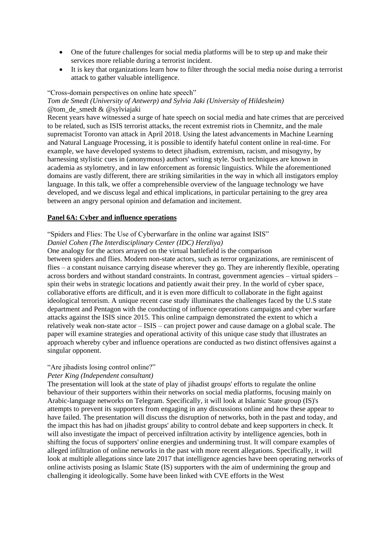- One of the future challenges for social media platforms will be to step up and make their services more reliable during a terrorist incident.
- It is key that organizations learn how to filter through the social media noise during a terrorist attack to gather valuable intelligence.

#### "Cross-domain perspectives on online hate speech"

#### *Tom de Smedt (University of Antwerp) and Sylvia Jaki (University of Hildesheim)* @tom\_de\_smedt & @sylviajaki

Recent years have witnessed a surge of hate speech on social media and hate crimes that are perceived to be related, such as ISIS terrorist attacks, the recent extremist riots in Chemnitz, and the male supremacist Toronto van attack in April 2018. Using the latest advancements in Machine Learning and Natural Language Processing, it is possible to identify hateful content online in real-time. For example, we have developed systems to detect jihadism, extremism, racism, and misogyny, by harnessing stylistic cues in (anonymous) authors' writing style. Such techniques are known in academia as stylometry, and in law enforcement as forensic linguistics. While the aforementioned domains are vastly different, there are striking similarities in the way in which all instigators employ language. In this talk, we offer a comprehensible overview of the language technology we have developed, and we discuss legal and ethical implications, in particular pertaining to the grey area between an angry personal opinion and defamation and incitement.

#### **Panel 6A: Cyber and influence operations**

#### "Spiders and Flies: The Use of Cyberwarfare in the online war against ISIS"

#### *Daniel Cohen (The Interdisciplinary Center (IDC) Herzliya)*

One analogy for the actors arrayed on the virtual battlefield is the comparison

between spiders and flies. Modern non-state actors, such as terror organizations, are reminiscent of flies – a constant nuisance carrying disease wherever they go. They are inherently flexible, operating across borders and without standard constraints. In contrast, government agencies – virtual spiders – spin their webs in strategic locations and patiently await their prey. In the world of cyber space, collaborative efforts are difficult, and it is even more difficult to collaborate in the fight against ideological terrorism. A unique recent case study illuminates the challenges faced by the U.S state department and Pentagon with the conducting of influence operations campaigns and cyber warfare attacks against the ISIS since 2015. This online campaign demonstrated the extent to which a relatively weak non-state actor – ISIS – can project power and cause damage on a global scale. The paper will examine strategies and operational activity of this unique case study that illustrates an approach whereby cyber and influence operations are conducted as two distinct offensives against a singular opponent.

#### "Are jihadists losing control online?"

#### *Peter King (Independent consultant)*

The presentation will look at the state of play of jihadist groups' efforts to regulate the online behaviour of their supporters within their networks on social media platforms, focusing mainly on Arabic-language networks on Telegram. Specifically, it will look at Islamic State group (IS)'s attempts to prevent its supporters from engaging in any discussions online and how these appear to have failed. The presentation will discuss the disruption of networks, both in the past and today, and the impact this has had on jihadist groups' ability to control debate and keep supporters in check. It will also investigate the impact of perceived infiltration activity by intelligence agencies, both in shifting the focus of supporters' online energies and undermining trust. It will compare examples of alleged infiltration of online networks in the past with more recent allegations. Specifically, it will look at multiple allegations since late 2017 that intelligence agencies have been operating networks of online activists posing as Islamic State (IS) supporters with the aim of undermining the group and challenging it ideologically. Some have been linked with CVE efforts in the West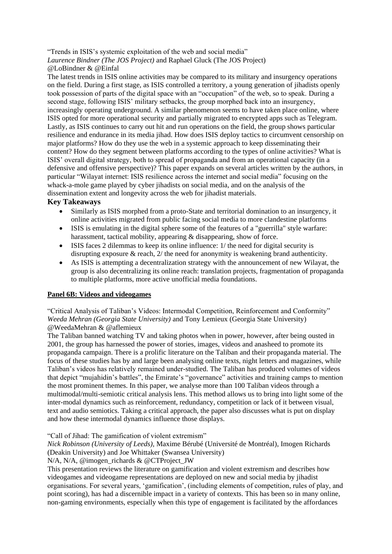"Trends in ISIS's systemic exploitation of the web and social media" *Laurence Bindner (The JOS Project)* and Raphael Gluck (The JOS Project)

#### @LoBindner & @Einfal

The latest trends in ISIS online activities may be compared to its military and insurgency operations on the field. During a first stage, as ISIS controlled a territory, a young generation of jihadists openly took possession of parts of the digital space with an "occupation" of the web, so to speak. During a second stage, following ISIS' military setbacks, the group morphed back into an insurgency, increasingly operating underground. A similar phenomenon seems to have taken place online, where ISIS opted for more operational security and partially migrated to encrypted apps such as Telegram. Lastly, as ISIS continues to carry out hit and run operations on the field, the group shows particular resilience and endurance in its media jihad. How does ISIS deploy tactics to circumvent censorship on major platforms? How do they use the web in a systemic approach to keep disseminating their content? How do they segment between platforms according to the types of online activities? What is ISIS' overall digital strategy, both to spread of propaganda and from an operational capacity (in a defensive and offensive perspective)? This paper expands on several articles written by the authors, in particular "Wilayat internet: ISIS resilience across the internet and social media" focusing on the whack-a-mole game played by cyber jihadists on social media, and on the analysis of the dissemination extent and longevity across the web for jihadist materials.

#### **Key Takeaways**

- Similarly as ISIS morphed from a proto-State and territorial domination to an insurgency, it online activities migrated from public facing social media to more clandestine platforms
- ISIS is emulating in the digital sphere some of the features of a "guerrilla" style warfare: harassment, tactical mobility, appearing & disappearing, show of force.
- ISIS faces 2 dilemmas to keep its online influence: 1/ the need for digital security is disrupting exposure & reach, 2/ the need for anonymity is weakening brand authenticity.
- As ISIS is attempting a decentralization strategy with the announcement of new Wilayat, the group is also decentralizing its online reach: translation projects, fragmentation of propaganda to multiple platforms, more active unofficial media foundations.

#### **Panel 6B: Videos and videogames**

"Critical Analysis of Taliban's Videos: Intermodal Competition, Reinforcement and Conformity" *Weeda Mehran (Georgia State University)* and Tony Lemieux (Georgia State University) @WeedaMehran & @aflemieux

The Taliban banned watching TV and taking photos when in power, however, after being ousted in 2001, the group has harnessed the power of stories, images, videos and anasheed to promote its propaganda campaign. There is a prolific literature on the Taliban and their propaganda material. The focus of these studies has by and large been analysing online texts, night letters and magazines, while Taliban's videos has relatively remained under-studied. The Taliban has produced volumes of videos that depict "mujahidin's battles", the Emirate's "governance" activities and training camps to mention the most prominent themes. In this paper, we analyse more than 100 Taliban videos through a multimodal/multi-semiotic critical analysis lens. This method allows us to bring into light some of the inter-modal dynamics such as reinforcement, redundancy, competition or lack of it between visual, text and audio semiotics. Taking a critical approach, the paper also discusses what is put on display and how these intermodal dynamics influence those displays.

"Call of Jihad: The gamification of violent extremism"

*Nick Robinson (University of Leeds),* Maxime Bérubé (Université de Montréal), Imogen Richards (Deakin University) and Joe Whittaker (Swansea University)

N/A, N/A, @imogen\_richards & @CTProject\_JW

This presentation reviews the literature on gamification and violent extremism and describes how videogames and videogame representations are deployed on new and social media by jihadist organisations. For several years, 'gamification', (including elements of competition, rules of play, and point scoring), has had a discernible impact in a variety of contexts. This has been so in many online, non-gaming environments, especially when this type of engagement is facilitated by the affordances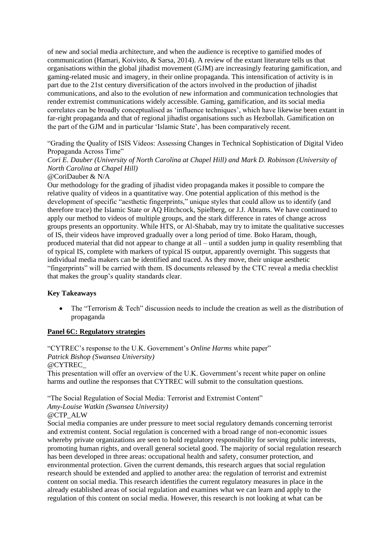of new and social media architecture, and when the audience is receptive to gamified modes of communication (Hamari, Koivisto, & Sarsa, 2014). A review of the extant literature tells us that organisations within the global jihadist movement (GJM) are increasingly featuring gamification, and gaming-related music and imagery, in their online propaganda. This intensification of activity is in part due to the 21st century diversification of the actors involved in the production of jihadist communications, and also to the evolution of new information and communication technologies that render extremist communications widely accessible. Gaming, gamification, and its social media correlates can be broadly conceptualised as 'influence techniques', which have likewise been extant in far-right propaganda and that of regional jihadist organisations such as Hezbollah. Gamification on the part of the GJM and in particular 'Islamic State', has been comparatively recent.

"Grading the Quality of ISIS Videos: Assessing Changes in Technical Sophistication of Digital Video Propaganda Across Time"

### *Cori E. Dauber (University of North Carolina at Chapel Hill) and Mark D. Robinson (University of North Carolina at Chapel Hill)*

#### @CoriDauber & N/A

Our methodology for the grading of jihadist video propaganda makes it possible to compare the relative quality of videos in a quantitative way. One potential application of this method is the development of specific "aesthetic fingerprints," unique styles that could allow us to identify (and therefore trace) the Islamic State or AQ Hitchcock, Spielberg, or J.J. Abrams. We have continued to apply our method to videos of multiple groups, and the stark difference in rates of change across groups presents an opportunity. While HTS, or Al-Shabab, may try to imitate the qualitative successes of IS, their videos have improved gradually over a long period of time. Boko Haram, though, produced material that did not appear to change at all – until a sudden jump in quality resembling that of typical IS, complete with markers of typical IS output, apparently overnight. This suggests that individual media makers can be identified and traced. As they move, their unique aesthetic "fingerprints" will be carried with them. IS documents released by the CTC reveal a media checklist that makes the group's quality standards clear.

#### **Key Takeaways**

 The "Terrorism & Tech" discussion needs to include the creation as well as the distribution of propaganda

#### **Panel 6C: Regulatory strategies**

"CYTREC's response to the U.K. Government's *Online Harms* white paper" *Patrick Bishop (Swansea University)* @CYTREC\_ This presentation will offer an overview of the U.K. Government's recent white paper on online harms and outline the responses that CYTREC will submit to the consultation questions.

"The Social Regulation of Social Media: Terrorist and Extremist Content" *Amy-Louise Watkin (Swansea University)*

#### @CTP\_ALW

Social media companies are under pressure to meet social regulatory demands concerning terrorist and extremist content. Social regulation is concerned with a broad range of non-economic issues whereby private organizations are seen to hold regulatory responsibility for serving public interests, promoting human rights, and overall general societal good. The majority of social regulation research has been developed in three areas: occupational health and safety, consumer protection, and environmental protection. Given the current demands, this research argues that social regulation research should be extended and applied to another area: the regulation of terrorist and extremist content on social media. This research identifies the current regulatory measures in place in the already established areas of social regulation and examines what we can learn and apply to the regulation of this content on social media. However, this research is not looking at what can be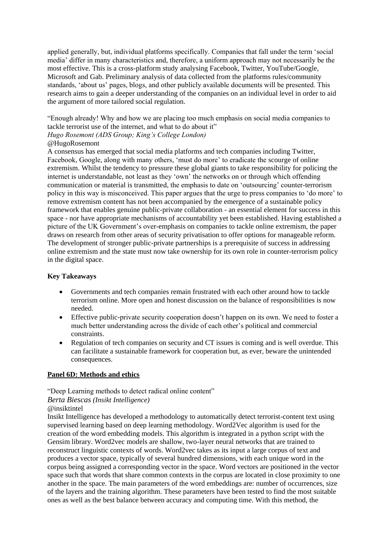applied generally, but, individual platforms specifically. Companies that fall under the term 'social media' differ in many characteristics and, therefore, a uniform approach may not necessarily be the most effective. This is a cross-platform study analysing Facebook, Twitter, YouTube/Google, Microsoft and Gab. Preliminary analysis of data collected from the platforms rules/community standards, 'about us' pages, blogs, and other publicly available documents will be presented. This research aims to gain a deeper understanding of the companies on an individual level in order to aid the argument of more tailored social regulation.

"Enough already! Why and how we are placing too much emphasis on social media companies to tackle terrorist use of the internet, and what to do about it"

## *Hugo Rosemont (ADS Group; King's College London)*

#### @HugoRosemont

A consensus has emerged that social media platforms and tech companies including Twitter, Facebook, Google, along with many others, 'must do more' to eradicate the scourge of online extremism. Whilst the tendency to pressure these global giants to take responsibility for policing the internet is understandable, not least as they 'own' the networks on or through which offending communication or material is transmitted, the emphasis to date on 'outsourcing' counter-terrorism policy in this way is misconceived. This paper argues that the urge to press companies to 'do more' to remove extremism content has not been accompanied by the emergence of a sustainable policy framework that enables genuine public-private collaboration - an essential element for success in this space - nor have appropriate mechanisms of accountability yet been established. Having established a picture of the UK Government's over-emphasis on companies to tackle online extremism, the paper draws on research from other areas of security privatisation to offer options for manageable reform. The development of stronger public-private partnerships is a prerequisite of success in addressing online extremism and the state must now take ownership for its own role in counter-terrorism policy in the digital space.

#### **Key Takeaways**

- Governments and tech companies remain frustrated with each other around how to tackle terrorism online. More open and honest discussion on the balance of responsibilities is now needed.
- Effective public-private security cooperation doesn't happen on its own. We need to foster a much better understanding across the divide of each other's political and commercial constraints.
- Regulation of tech companies on security and CT issues is coming and is well overdue. This can facilitate a sustainable framework for cooperation but, as ever, beware the unintended consequences.

#### **Panel 6D: Methods and ethics**

"Deep Learning methods to detect radical online content"

#### *Berta Biescas (Insikt Intelligence)*

#### @insiktintel

Insikt Intelligence has developed a methodology to automatically detect terrorist-content text using supervised learning based on deep learning methodology. Word2Vec algorithm is used for the creation of the word embedding models. This algorithm is integrated in a python script with the Gensim library. Word2vec models are shallow, two-layer neural networks that are trained to reconstruct linguistic contexts of words. Word2vec takes as its input a large corpus of text and produces a vector space, typically of several hundred dimensions, with each unique word in the corpus being assigned a corresponding vector in the space. Word vectors are positioned in the vector space such that words that share common contexts in the corpus are located in close proximity to one another in the space. The main parameters of the word embeddings are: number of occurrences, size of the layers and the training algorithm. These parameters have been tested to find the most suitable ones as well as the best balance between accuracy and computing time. With this method, the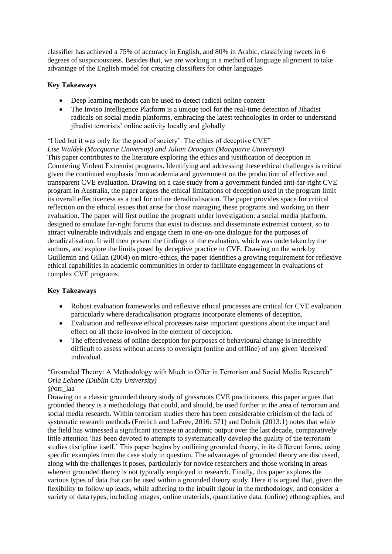classifier has achieved a 75% of accuracy in English, and 80% in Arabic, classifying tweets in 6 degrees of suspiciousness. Besides that, we are working in a method of language alignment to take advantage of the English model for creating classifiers for other languages

#### **Key Takeaways**

- Deep learning methods can be used to detect radical online content
- The Inviso Intelligence Platform is a unique tool for the real-time detection of Jihadist radicals on social media platforms, embracing the latest technologies in order to understand jihadist terrorists' online activity locally and globally

"I lied but it was only for the good of society': The ethics of deceptive CVE" *Lise Waldek (Macquarie University) and Julian Droogan (Macquarie University)* This paper contributes to the literature exploring the ethics and justification of deception in Countering Violent Extremist programs. Identifying and addressing these ethical challenges is critical given the continued emphasis from academia and government on the production of effective and transparent CVE evaluation. Drawing on a case study from a government funded anti-far-right CVE program in Australia, the paper argues the ethical limitations of deception used in the program limit its overall effectiveness as a tool for online deradicalisation. The paper provides space for critical reflection on the ethical issues that arise for those managing these programs and working on their evaluation. The paper will first outline the program under investigation: a social media platform, designed to emulate far-right forums that exist to discuss and disseminate extremist content, so to attract vulnerable individuals and engage them in one-on-one dialogue for the purposes of deradicalisation. It will then present the findings of the evaluation, which was undertaken by the authors, and explore the limits posed by deceptive practice in CVE. Drawing on the work by Guillemin and Gillan (2004) on micro-ethics, the paper identifies a growing requirement for reflexive ethical capabilities in academic communities in order to facilitate engagement in evaluations of complex CVE programs.

#### **Key Takeaways**

- Robust evaluation frameworks and reflexive ethical processes are critical for CVE evaluation particularly where deradicalisation programs incorporate elements of deception.
- Evaluation and reflexive ethical processes raise important questions about the impact and effect on all those involved in the element of deception.
- The effectiveness of online deception for purposes of behavioural change is incredibly difficult to assess without access to oversight (online and offline) of any given 'deceived' individual.

#### "Grounded Theory: A Methodology with Much to Offer in Terrorism and Social Media Research" *Orla Lehane (Dublin City University)* @orr\_laa

Drawing on a classic grounded theory study of grassroots CVE practitioners, this paper argues that grounded theory is a methodology that could, and should, be used further in the area of terrorism and social media research. Within terrorism studies there has been considerable criticism of the lack of systematic research methods (Freilich and LaFree, 2016: 571) and Dolnik (2013:1) notes that while the field has witnessed a significant increase in academic output over the last decade, comparatively little attention 'has been devoted to attempts to systematically develop the quality of the terrorism studies discipline itself.' This paper begins by outlining grounded theory, in its different forms, using specific examples from the case study in question. The advantages of grounded theory are discussed, along with the challenges it poses, particularly for novice researchers and those working in areas wherein grounded theory is not typically employed in research. Finally, this paper explores the various types of data that can be used within a grounded theory study. Here it is argued that, given the flexibility to follow up leads, while adhering to the inbuilt rigour in the methodology, and consider a variety of data types, including images, online materials, quantitative data, (online) ethnographies, and